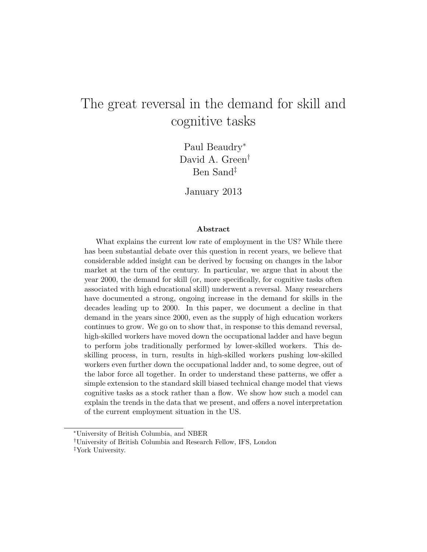# The great reversal in the demand for skill and cognitive tasks

Paul Beaudry<sup>∗</sup> David A. Green† Ben Sand‡

January 2013

#### Abstract

What explains the current low rate of employment in the US? While there has been substantial debate over this question in recent years, we believe that considerable added insight can be derived by focusing on changes in the labor market at the turn of the century. In particular, we argue that in about the year 2000, the demand for skill (or, more specifically, for cognitive tasks often associated with high educational skill) underwent a reversal. Many researchers have documented a strong, ongoing increase in the demand for skills in the decades leading up to 2000. In this paper, we document a decline in that demand in the years since 2000, even as the supply of high education workers continues to grow. We go on to show that, in response to this demand reversal, high-skilled workers have moved down the occupational ladder and have begun to perform jobs traditionally performed by lower-skilled workers. This deskilling process, in turn, results in high-skilled workers pushing low-skilled workers even further down the occupational ladder and, to some degree, out of the labor force all together. In order to understand these patterns, we offer a simple extension to the standard skill biased technical change model that views cognitive tasks as a stock rather than a flow. We show how such a model can explain the trends in the data that we present, and offers a novel interpretation of the current employment situation in the US.

<sup>∗</sup>University of British Columbia, and NBER

<sup>†</sup>University of British Columbia and Research Fellow, IFS, London

<sup>‡</sup>York University.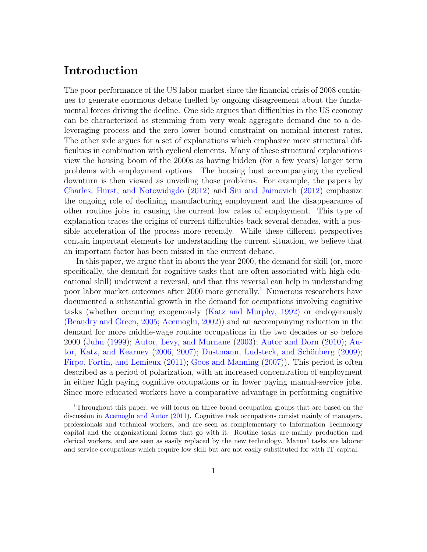### Introduction

The poor performance of the US labor market since the financial crisis of 2008 continues to generate enormous debate fuelled by ongoing disagreement about the fundamental forces driving the decline. One side argues that difficulties in the US economy can be characterized as stemming from very weak aggregate demand due to a deleveraging process and the zero lower bound constraint on nominal interest rates. The other side argues for a set of explanations which emphasize more structural difficulties in combination with cyclical elements. Many of these structural explanations view the housing boom of the 2000s as having hidden (for a few years) longer term problems with employment options. The housing bust accompanying the cyclical downturn is then viewed as unveiling those problems. For example, the papers by [Charles, Hurst, and Notowidigdo](#page-32-0) [\(2012\)](#page-32-0) and [Siu and Jaimovich](#page-33-0) [\(2012\)](#page-33-0) emphasize the ongoing role of declining manufacturing employment and the disappearance of other routine jobs in causing the current low rates of employment. This type of explanation traces the origins of current difficulties back several decades, with a possible acceleration of the process more recently. While these different perspectives contain important elements for understanding the current situation, we believe that an important factor has been missed in the current debate.

In this paper, we argue that in about the year 2000, the demand for skill (or, more specifically, the demand for cognitive tasks that are often associated with high educational skill) underwent a reversal, and that this reversal can help in understanding poor labor market outcomes after 2000 more generally.[1](#page-1-0) Numerous researchers have documented a substantial growth in the demand for occupations involving cognitive tasks (whether occurring exogenously [\(Katz and Murphy,](#page-33-1) [1992\)](#page-33-1) or endogenously [\(Beaudry and Green,](#page-32-1) [2005;](#page-32-1) [Acemoglu,](#page-32-2) [2002\)](#page-32-2)) and an accompanying reduction in the demand for more middle-wage routine occupations in the two decades or so before 2000 [\(Juhn](#page-33-2) [\(1999\)](#page-33-2); [Autor, Levy, and Murnane](#page-32-3) [\(2003\)](#page-32-3); [Autor and Dorn](#page-32-4) [\(2010\)](#page-32-4); [Au](#page-32-5)[tor, Katz, and Kearney](#page-32-5) [\(2006,](#page-32-5) [2007\)](#page-32-6); Dustmann, Ludsteck, and Schönberg  $(2009)$ ; [Firpo, Fortin, and Lemieux](#page-33-3) [\(2011\)](#page-33-3); [Goos and Manning](#page-33-4) [\(2007\)](#page-33-4)). This period is often described as a period of polarization, with an increased concentration of employment in either high paying cognitive occupations or in lower paying manual-service jobs. Since more educated workers have a comparative advantage in performing cognitive

<span id="page-1-0"></span><sup>1</sup>Throughout this paper, we will focus on three broad occupation groups that are based on the discussion in [Acemoglu and Autor](#page-32-8) [\(2011\)](#page-32-8). Cognitive task occupations consist mainly of managers, professionals and technical workers, and are seen as complementary to Information Technology capital and the organizational forms that go with it. Routine tasks are mainly production and clerical workers, and are seen as easily replaced by the new technology. Manual tasks are laborer and service occupations which require low skill but are not easily substituted for with IT capital.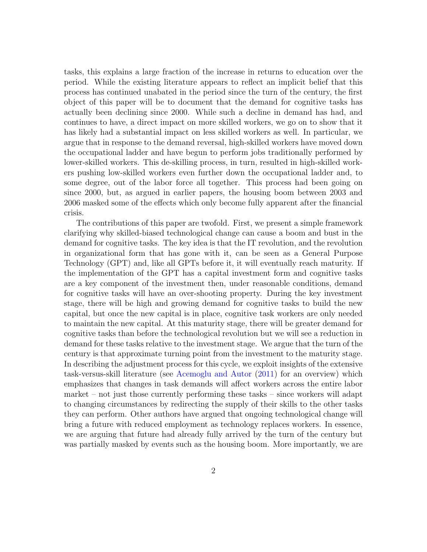tasks, this explains a large fraction of the increase in returns to education over the period. While the existing literature appears to reflect an implicit belief that this process has continued unabated in the period since the turn of the century, the first object of this paper will be to document that the demand for cognitive tasks has actually been declining since 2000. While such a decline in demand has had, and continues to have, a direct impact on more skilled workers, we go on to show that it has likely had a substantial impact on less skilled workers as well. In particular, we argue that in response to the demand reversal, high-skilled workers have moved down the occupational ladder and have begun to perform jobs traditionally performed by lower-skilled workers. This de-skilling process, in turn, resulted in high-skilled workers pushing low-skilled workers even further down the occupational ladder and, to some degree, out of the labor force all together. This process had been going on since 2000, but, as argued in earlier papers, the housing boom between 2003 and 2006 masked some of the effects which only become fully apparent after the financial crisis.

The contributions of this paper are twofold. First, we present a simple framework clarifying why skilled-biased technological change can cause a boom and bust in the demand for cognitive tasks. The key idea is that the IT revolution, and the revolution in organizational form that has gone with it, can be seen as a General Purpose Technology (GPT) and, like all GPTs before it, it will eventually reach maturity. If the implementation of the GPT has a capital investment form and cognitive tasks are a key component of the investment then, under reasonable conditions, demand for cognitive tasks will have an over-shooting property. During the key investment stage, there will be high and growing demand for cognitive tasks to build the new capital, but once the new capital is in place, cognitive task workers are only needed to maintain the new capital. At this maturity stage, there will be greater demand for cognitive tasks than before the technological revolution but we will see a reduction in demand for these tasks relative to the investment stage. We argue that the turn of the century is that approximate turning point from the investment to the maturity stage. In describing the adjustment process for this cycle, we exploit insights of the extensive task-versus-skill literature (see [Acemoglu and Autor](#page-32-8) [\(2011\)](#page-32-8) for an overview) which emphasizes that changes in task demands will affect workers across the entire labor market – not just those currently performing these tasks – since workers will adapt to changing circumstances by redirecting the supply of their skills to the other tasks they can perform. Other authors have argued that ongoing technological change will bring a future with reduced employment as technology replaces workers. In essence, we are arguing that future had already fully arrived by the turn of the century but was partially masked by events such as the housing boom. More importantly, we are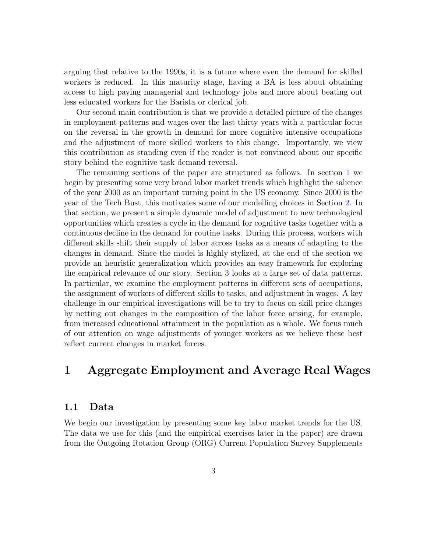arguing that relative to the 1990s, it is a future where even the demand for skilled workers is reduced. In this maturity stage, having a BA is less about obtaining access to high paying managerial and technology jobs and more about beating out less educated workers for the Barista or clerical job.

Our second main contribution is that we provide a detailed picture of the changes in employment patterns and wages over the last thirty years with a particular focus on the reversal in the growth in demand for more cognitive intensive occupations and the adjustment of more skilled workers to this change. Importantly, we view this contribution as standing even if the reader is not convinced about our specific story behind the cognitive task demand reversal.

The remaining sections of the paper are structured as follows. In section [1](#page-3-0) we begin by presenting some very broad labor market trends which highlight the salience of the year 2000 as an important turning point in the US economy. Since 2000 is the year of the Tech Bust, this motivates some of our modelling choices in Section [2.](#page-5-0) In that section, we present a simple dynamic model of adjustment to new technological opportunities which creates a cycle in the demand for cognitive tasks together with a continuous decline in the demand for routine tasks. During this process, workers with different skills shift their supply of labor across tasks as a means of adapting to the changes in demand. Since the model is highly stylized, at the end of the section we provide an heuristic generalization which provides an easy framework for exploring the empirical relevance of our story. Section [3](#page-18-0) looks at a large set of data patterns. In particular, we examine the employment patterns in different sets of occupations, the assignment of workers of different skills to tasks, and adjustment in wages. A key challenge in our empirical investigations will be to try to focus on skill price changes by netting out changes in the composition of the labor force arising, for example, from increased educational attainment in the population as a whole. We focus much of our attention on wage adjustments of younger workers as we believe these best reflect current changes in market forces.

### <span id="page-3-0"></span>1 Aggregate Employment and Average Real Wages

#### 1.1 Data

We begin our investigation by presenting some key labor market trends for the US. The data we use for this (and the empirical exercises later in the paper) are drawn from the Outgoing Rotation Group (ORG) Current Population Survey Supplements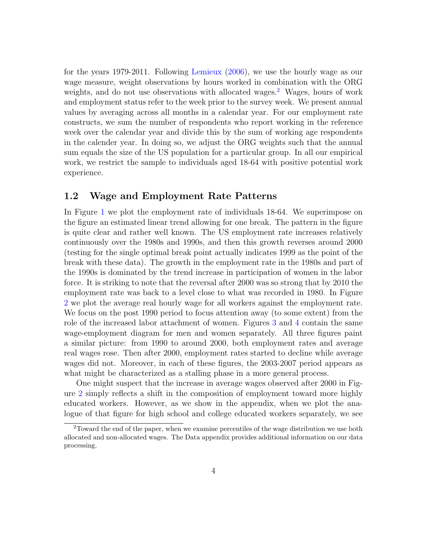for the years 1979-2011. Following [Lemieux](#page-33-5) [\(2006\)](#page-33-5), we use the hourly wage as our wage measure, weight observations by hours worked in combination with the ORG weights, and do not use observations with allocated wages.<sup>[2](#page-4-0)</sup> Wages, hours of work and employment status refer to the week prior to the survey week. We present annual values by averaging across all months in a calendar year. For our employment rate constructs, we sum the number of respondents who report working in the reference week over the calendar year and divide this by the sum of working age respondents in the calender year. In doing so, we adjust the ORG weights such that the annual sum equals the size of the US population for a particular group. In all our empirical work, we restrict the sample to individuals aged 18-64 with positive potential work experience.

#### 1.2 Wage and Employment Rate Patterns

In Figure [1](#page-34-0) we plot the employment rate of individuals 18-64. We superimpose on the figure an estimated linear trend allowing for one break. The pattern in the figure is quite clear and rather well known. The US employment rate increases relatively continuously over the 1980s and 1990s, and then this growth reverses around 2000 (testing for the single optimal break point actually indicates 1999 as the point of the break with these data). The growth in the employment rate in the 1980s and part of the 1990s is dominated by the trend increase in participation of women in the labor force. It is striking to note that the reversal after 2000 was so strong that by 2010 the employment rate was back to a level close to what was recorded in 1980. In Figure [2](#page-35-0) we plot the average real hourly wage for all workers against the employment rate. We focus on the post 1990 period to focus attention away (to some extent) from the role of the increased labor attachment of women. Figures [3](#page-36-0) and [4](#page-37-0) contain the same wage-employment diagram for men and women separately. All three figures paint a similar picture: from 1990 to around 2000, both employment rates and average real wages rose. Then after 2000, employment rates started to decline while average wages did not. Moreover, in each of these figures, the 2003-2007 period appears as what might be characterized as a stalling phase in a more general process.

One might suspect that the increase in average wages observed after 2000 in Figure [2](#page-35-0) simply reflects a shift in the composition of employment toward more highly educated workers. However, as we show in the appendix, when we plot the analogue of that figure for high school and college educated workers separately, we see

<span id="page-4-0"></span><sup>2</sup>Toward the end of the paper, when we examine percentiles of the wage distribution we use both allocated and non-allocated wages. The Data appendix provides additional information on our data processing.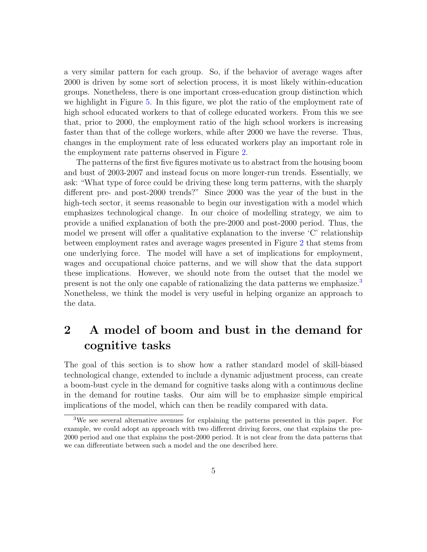a very similar pattern for each group. So, if the behavior of average wages after 2000 is driven by some sort of selection process, it is most likely within-education groups. Nonetheless, there is one important cross-education group distinction which we highlight in Figure [5.](#page-38-0) In this figure, we plot the ratio of the employment rate of high school educated workers to that of college educated workers. From this we see that, prior to 2000, the employment ratio of the high school workers is increasing faster than that of the college workers, while after 2000 we have the reverse. Thus, changes in the employment rate of less educated workers play an important role in the employment rate patterns observed in Figure [2.](#page-35-0)

The patterns of the first five figures motivate us to abstract from the housing boom and bust of 2003-2007 and instead focus on more longer-run trends. Essentially, we ask: "What type of force could be driving these long term patterns, with the sharply different pre- and post-2000 trends?" Since 2000 was the year of the bust in the high-tech sector, it seems reasonable to begin our investigation with a model which emphasizes technological change. In our choice of modelling strategy, we aim to provide a unified explanation of both the pre-2000 and post-2000 period. Thus, the model we present will offer a qualitative explanation to the inverse 'C' relationship between employment rates and average wages presented in Figure [2](#page-35-0) that stems from one underlying force. The model will have a set of implications for employment, wages and occupational choice patterns, and we will show that the data support these implications. However, we should note from the outset that the model we present is not the only one capable of rationalizing the data patterns we emphasize.[3](#page-5-1) Nonetheless, we think the model is very useful in helping organize an approach to the data.

## <span id="page-5-0"></span>2 A model of boom and bust in the demand for cognitive tasks

The goal of this section is to show how a rather standard model of skill-biased technological change, extended to include a dynamic adjustment process, can create a boom-bust cycle in the demand for cognitive tasks along with a continuous decline in the demand for routine tasks. Our aim will be to emphasize simple empirical implications of the model, which can then be readily compared with data.

<span id="page-5-1"></span><sup>3</sup>We see several alternative avenues for explaining the patterns presented in this paper. For example, we could adopt an approach with two different driving forces, one that explains the pre-2000 period and one that explains the post-2000 period. It is not clear from the data patterns that we can differentiate between such a model and the one described here.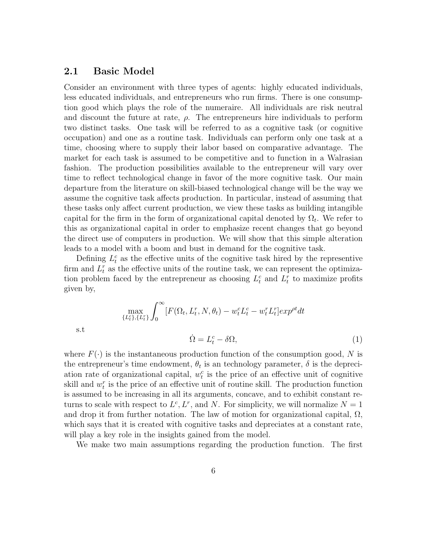#### 2.1 Basic Model

s.t

Consider an environment with three types of agents: highly educated individuals, less educated individuals, and entrepreneurs who run firms. There is one consumption good which plays the role of the numeraire. All individuals are risk neutral and discount the future at rate,  $\rho$ . The entrepreneurs hire individuals to perform two distinct tasks. One task will be referred to as a cognitive task (or cognitive occupation) and one as a routine task. Individuals can perform only one task at a time, choosing where to supply their labor based on comparative advantage. The market for each task is assumed to be competitive and to function in a Walrasian fashion. The production possibilities available to the entrepreneur will vary over time to reflect technological change in favor of the more cognitive task. Our main departure from the literature on skill-biased technological change will be the way we assume the cognitive task affects production. In particular, instead of assuming that these tasks only affect current production, we view these tasks as building intangible capital for the firm in the form of organizational capital denoted by  $\Omega_t$ . We refer to this as organizational capital in order to emphasize recent changes that go beyond the direct use of computers in production. We will show that this simple alteration leads to a model with a boom and bust in demand for the cognitive task.

Defining  $L_t^c$  as the effective units of the cognitive task hired by the representive firm and  $L_t^r$  as the effective units of the routine task, we can represent the optimization problem faced by the entrepreneur as choosing  $L_t^c$  and  $L_t^r$  to maximize profits given by,

<span id="page-6-0"></span>
$$
\max_{\{L_t^c\},\{L_t^r\}} \int_0^\infty [F(\Omega_t, L_t^r, N, \theta_t) - w_t^c L_t^c - w_t^r L_t^r] exp^{\rho t} dt
$$
  

$$
\dot{\Omega} = L_t^c - \delta \Omega,
$$
 (1)

where  $F(\cdot)$  is the instantaneous production function of the consumption good, N is the entrepreneur's time endowment,  $\theta_t$  is an technology parameter,  $\delta$  is the depreciation rate of organizational capital,  $w_t^c$  is the price of an effective unit of cognitive skill and  $w_t^r$  is the price of an effective unit of routine skill. The production function is assumed to be increasing in all its arguments, concave, and to exhibit constant returns to scale with respect to  $L^c, L^r$ , and N. For simplicity, we will normalize  $N = 1$ and drop it from further notation. The law of motion for organizational capital,  $\Omega$ , which says that it is created with cognitive tasks and depreciates at a constant rate, will play a key role in the insights gained from the model.

We make two main assumptions regarding the production function. The first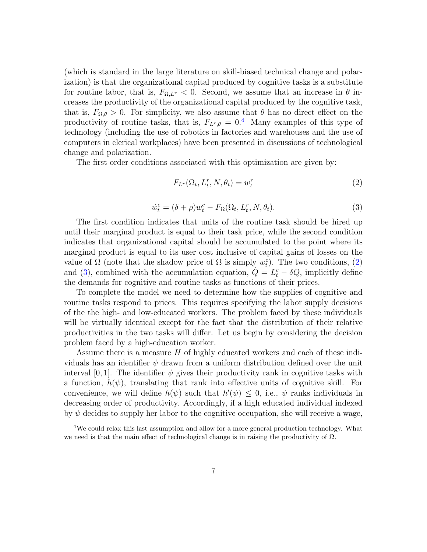(which is standard in the large literature on skill-biased technical change and polarization) is that the organizational capital produced by cognitive tasks is a substitute for routine labor, that is,  $F_{\Omega,L}$  < 0. Second, we assume that an increase in  $\theta$  increases the productivity of the organizational capital produced by the cognitive task, that is,  $F_{\Omega,\theta} > 0$ . For simplicity, we also assume that  $\theta$  has no direct effect on the productivity of routine tasks, that is,  $F_{L^r,\theta} = 0.4$  $F_{L^r,\theta} = 0.4$  Many examples of this type of technology (including the use of robotics in factories and warehouses and the use of computers in clerical workplaces) have been presented in discussions of technological change and polarization.

The first order conditions associated with this optimization are given by:

<span id="page-7-1"></span>
$$
F_{L^r}(\Omega_t, L_t^r, N, \theta_t) = w_t^r \tag{2}
$$

<span id="page-7-2"></span>
$$
\dot{w}_t^c = (\delta + \rho)w_t^c - F_\Omega(\Omega_t, L_t^r, N, \theta_t). \tag{3}
$$

The first condition indicates that units of the routine task should be hired up until their marginal product is equal to their task price, while the second condition indicates that organizational capital should be accumulated to the point where its marginal product is equal to its user cost inclusive of capital gains of losses on the value of  $\Omega$  (note that the shadow price of  $\Omega$  is simply  $w_t^c$ ). The two conditions, [\(2\)](#page-7-1) and [\(3\)](#page-7-2), combined with the accumulation equation,  $\dot{Q} = L_t^c - \delta Q$ , implicitly define the demands for cognitive and routine tasks as functions of their prices.

To complete the model we need to determine how the supplies of cognitive and routine tasks respond to prices. This requires specifying the labor supply decisions of the the high- and low-educated workers. The problem faced by these individuals will be virtually identical except for the fact that the distribution of their relative productivities in the two tasks will differ. Let us begin by considering the decision problem faced by a high-education worker.

Assume there is a measure  $H$  of highly educated workers and each of these individuals has an identifier  $\psi$  drawn from a uniform distribution defined over the unit interval [0, 1]. The identifier  $\psi$  gives their productivity rank in cognitive tasks with a function,  $h(\psi)$ , translating that rank into effective units of cognitive skill. For convenience, we will define  $h(\psi)$  such that  $h'(\psi) \leq 0$ , i.e.,  $\psi$  ranks individuals in decreasing order of productivity. Accordingly, if a high educated individual indexed by  $\psi$  decides to supply her labor to the cognitive occupation, she will receive a wage,

<span id="page-7-0"></span><sup>4</sup>We could relax this last assumption and allow for a more general production technology. What we need is that the main effect of technological change is in raising the productivity of  $\Omega$ .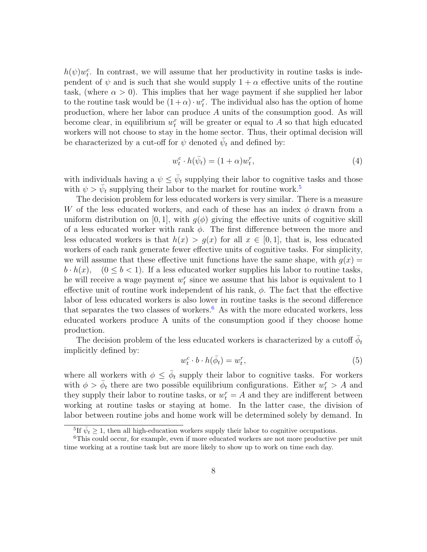$h(\psi)w_t^c$ . In contrast, we will assume that her productivity in routine tasks is independent of  $\psi$  and is such that she would supply  $1 + \alpha$  effective units of the routine task, (where  $\alpha > 0$ ). This implies that her wage payment if she supplied her labor to the routine task would be  $(1+\alpha) \cdot w_t^r$ . The individual also has the option of home production, where her labor can produce A units of the consumption good. As will become clear, in equilibrium  $w_t^r$  will be greater or equal to A so that high educated workers will not choose to stay in the home sector. Thus, their optimal decision will be characterized by a cut-off for  $\psi$  denoted  $\bar{\psi}_t$  and defined by:

<span id="page-8-2"></span>
$$
w_t^c \cdot h(\bar{\psi}_t) = (1 + \alpha)w_t^r,\tag{4}
$$

with individuals having a  $\psi \leq \bar{\psi}_t$  supplying their labor to cognitive tasks and those with  $\psi > \bar{\psi}_t$  supplying their labor to the market for routine work.<sup>[5](#page-8-0)</sup>

The decision problem for less educated workers is very similar. There is a measure W of the less educated workers, and each of these has an index  $\phi$  drawn from a uniform distribution on [0, 1], with  $g(\phi)$  giving the effective units of cognitive skill of a less educated worker with rank  $\phi$ . The first difference between the more and less educated workers is that  $h(x) > g(x)$  for all  $x \in [0,1]$ , that is, less educated workers of each rank generate fewer effective units of cognitive tasks. For simplicity, we will assume that these effective unit functions have the same shape, with  $g(x) =$  $b \cdot h(x)$ ,  $(0 \leq b < 1)$ . If a less educated worker supplies his labor to routine tasks, he will receive a wage payment  $w_t^r$  since we assume that his labor is equivalent to 1 effective unit of routine work independent of his rank,  $\phi$ . The fact that the effective labor of less educated workers is also lower in routine tasks is the second difference that separates the two classes of workers.<sup>[6](#page-8-1)</sup> As with the more educated workers, less educated workers produce A units of the consumption good if they choose home production.

The decision problem of the less educated workers is characterized by a cutoff  $\bar{\phi}_t$ implicitly defined by:

<span id="page-8-3"></span>
$$
w_t^c \cdot b \cdot h(\bar{\phi}_t) = w_t^r,\tag{5}
$$

where all workers with  $\phi \leq \bar{\phi}_t$  supply their labor to cognitive tasks. For workers with  $\phi > \bar{\phi}_t$  there are two possible equilibrium configurations. Either  $w_t^r > A$  and they supply their labor to routine tasks, or  $w_t^r = A$  and they are indifferent between working at routine tasks or staying at home. In the latter case, the division of labor between routine jobs and home work will be determined solely by demand. In

<span id="page-8-1"></span><span id="page-8-0"></span><sup>&</sup>lt;sup>5</sup>If  $\bar{\psi}_t \geq 1$ , then all high-education workers supply their labor to cognitive occupations.

<sup>&</sup>lt;sup>6</sup>This could occur, for example, even if more educated workers are not more productive per unit time working at a routine task but are more likely to show up to work on time each day.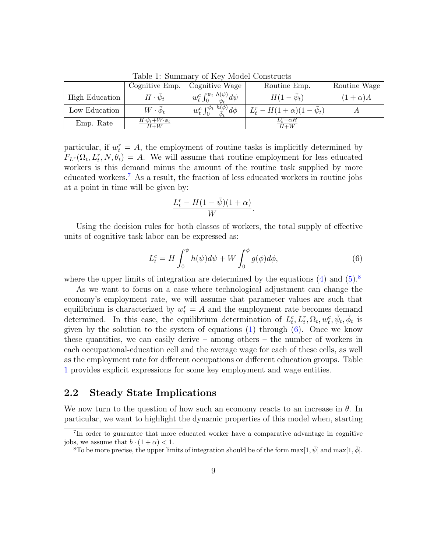|                | Cognitive Emp.                                         | Cognitive Wage                                                   | Routine Emp.                    | Routine Wage  |
|----------------|--------------------------------------------------------|------------------------------------------------------------------|---------------------------------|---------------|
| High Education | $H\cdot\psi_t$                                         | $w_t^c \int_0^{\psi_t} \frac{h(\psi)}{\bar{\psi}_t} d\psi$       | $H(1-\psi_t)$                   | $(1+\alpha)A$ |
| Low Education  | $W \cdot \phi_t$                                       | $w_t^c \int_0^{\bar{\phi}_t} \frac{h(\phi)}{\bar{\phi}_t} d\phi$ | $L_t^r - H(1+\alpha)(1-\psi_t)$ |               |
| Emp. Rate      | $H \cdot \bar{\psi}_t + W \cdot \bar{\phi}_t$<br>$H+W$ |                                                                  | $L_t^r - \alpha H$<br>$H+W$     |               |

<span id="page-9-3"></span>Table 1: Summary of Key Model Constructs

particular, if  $w_t^r = A$ , the employment of routine tasks is implicitly determined by  $F_{L^r}(\Omega_t, L_t^r, N, \theta_t) = A$ . We will assume that routine employment for less educated workers is this demand minus the amount of the routine task supplied by more educated workers.[7](#page-9-0) As a result, the fraction of less educated workers in routine jobs at a point in time will be given by:

$$
\frac{L_t^r - H(1-\bar{\psi})(1+\alpha)}{W}.
$$

Using the decision rules for both classes of workers, the total supply of effective units of cognitive task labor can be expressed as:

<span id="page-9-2"></span>
$$
L_t^c = H \int_0^{\bar{\psi}} h(\psi) d\psi + W \int_0^{\bar{\phi}} g(\phi) d\phi,
$$
 (6)

where the upper limits of integration are determined by the equations  $(4)$  and  $(5)$ .<sup>[8](#page-9-1)</sup>

As we want to focus on a case where technological adjustment can change the economy's employment rate, we will assume that parameter values are such that equilibrium is characterized by  $w_t^r = A$  and the employment rate becomes demand determined. In this case, the equilibrium determination of  $L_t^c, L_t^r, \Omega_t, w_t^c, \bar{\psi}_t, \bar{\phi}_t$  is given by the solution to the system of equations  $(1)$  through  $(6)$ . Once we know these quantities, we can easily derive – among others – the number of workers in each occupational-education cell and the average wage for each of these cells, as well as the employment rate for different occupations or different education groups. Table [1](#page-9-3) provides explicit expressions for some key employment and wage entities.

#### 2.2 Steady State Implications

We now turn to the question of how such an economy reacts to an increase in  $\theta$ . In particular, we want to highlight the dynamic properties of this model when, starting

<span id="page-9-0"></span><sup>&</sup>lt;sup>7</sup>In order to guarantee that more educated worker have a comparative advantage in cognitive jobs, we assume that  $b \cdot (1 + \alpha) < 1$ .

<span id="page-9-1"></span><sup>&</sup>lt;sup>8</sup>To be more precise, the upper limits of integration should be of the form  $\max[1, \bar{\psi}]$  and  $\max[1, \bar{\phi}]$ .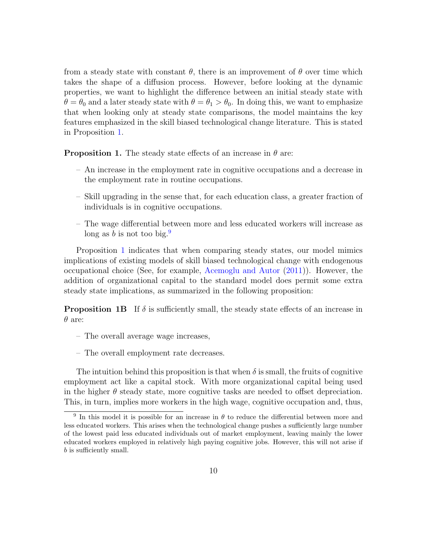from a steady state with constant  $\theta$ , there is an improvement of  $\theta$  over time which takes the shape of a diffusion process. However, before looking at the dynamic properties, we want to highlight the difference between an initial steady state with  $\theta = \theta_0$  and a later steady state with  $\theta = \theta_1 > \theta_0$ . In doing this, we want to emphasize that when looking only at steady state comparisons, the model maintains the key features emphasized in the skill biased technological change literature. This is stated in Proposition [1.](#page-10-0)

<span id="page-10-0"></span>**Proposition 1.** The steady state effects of an increase in  $\theta$  are:

- An increase in the employment rate in cognitive occupations and a decrease in the employment rate in routine occupations.
- Skill upgrading in the sense that, for each education class, a greater fraction of individuals is in cognitive occupations.
- The wage differential between more and less educated workers will increase as long as b is not too big.<sup>[9](#page-10-1)</sup>

Proposition [1](#page-10-0) indicates that when comparing steady states, our model mimics implications of existing models of skill biased technological change with endogenous occupational choice (See, for example, [Acemoglu and Autor](#page-32-8) [\(2011\)](#page-32-8)). However, the addition of organizational capital to the standard model does permit some extra steady state implications, as summarized in the following proposition:

**Proposition 1B** If  $\delta$  is sufficiently small, the steady state effects of an increase in  $\theta$  are:

- The overall average wage increases,
- The overall employment rate decreases.

The intuition behind this proposition is that when  $\delta$  is small, the fruits of cognitive employment act like a capital stock. With more organizational capital being used in the higher  $\theta$  steady state, more cognitive tasks are needed to offset depreciation. This, in turn, implies more workers in the high wage, cognitive occupation and, thus,

<span id="page-10-1"></span><sup>&</sup>lt;sup>9</sup> In this model it is possible for an increase in  $\theta$  to reduce the differential between more and less educated workers. This arises when the technological change pushes a sufficiently large number of the lowest paid less educated individuals out of market employment, leaving mainly the lower educated workers employed in relatively high paying cognitive jobs. However, this will not arise if b is sufficiently small.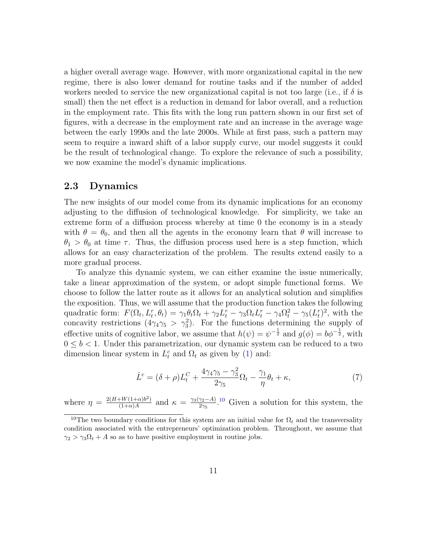a higher overall average wage. However, with more organizational capital in the new regime, there is also lower demand for routine tasks and if the number of added workers needed to service the new organizational capital is not too large (i.e., if  $\delta$  is small) then the net effect is a reduction in demand for labor overall, and a reduction in the employment rate. This fits with the long run pattern shown in our first set of figures, with a decrease in the employment rate and an increase in the average wage between the early 1990s and the late 2000s. While at first pass, such a pattern may seem to require a inward shift of a labor supply curve, our model suggests it could be the result of technological change. To explore the relevance of such a possibility, we now examine the model's dynamic implications.

#### 2.3 Dynamics

The new insights of our model come from its dynamic implications for an economy adjusting to the diffusion of technological knowledge. For simplicity, we take an extreme form of a diffusion process whereby at time 0 the economy is in a steady with  $\theta = \theta_0$ , and then all the agents in the economy learn that  $\theta$  will increase to  $\theta_1 > \theta_0$  at time  $\tau$ . Thus, the diffusion process used here is a step function, which allows for an easy characterization of the problem. The results extend easily to a more gradual process.

To analyze this dynamic system, we can either examine the issue numerically, take a linear approximation of the system, or adopt simple functional forms. We choose to follow the latter route as it allows for an analytical solution and simplifies the exposition. Thus, we will assume that the production function takes the following quadratic form:  $F(\Omega_t, L_t^r, \theta_t) = \gamma_1 \theta_t \Omega_t + \gamma_2 L_t^r - \gamma_3 \Omega_t L_t^r - \gamma_4 \Omega_t^2 - \gamma_5 (L_t^r)^2$ , with the concavity restrictions  $(4\gamma_4\gamma_5 > \gamma_3^2)$ . For the functions determining the supply of effective units of cognitive labor, we assume that  $h(\psi) = \psi^{-\frac{1}{2}}$  and  $g(\phi) = b\phi^{-\frac{1}{2}}$ , with  $0 \leq b < 1$ . Under this parametrization, our dynamic system can be reduced to a two dimension linear system in  $L_t^c$  and  $\Omega_t$  as given by [\(1\)](#page-6-0) and:

$$
\dot{L}^c = (\delta + \rho)L_t^C + \frac{4\gamma_4\gamma_5 - \gamma_3^2}{2\gamma_5}\Omega_t - \frac{\gamma_1}{\eta}\theta_t + \kappa,\tag{7}
$$

where  $\eta = \frac{2(H+W(1+\alpha)b^2)}{(1+\alpha)A}$  $\frac{W(1+\alpha)b^2}{(1+\alpha)A}$  and  $\kappa = \frac{\gamma_3(\gamma_2-A)}{2\gamma_5}$  $\frac{\gamma_2-A}{2\gamma_5}$ .<sup>[10](#page-11-0)</sup> Given a solution for this system, the

<span id="page-11-0"></span><sup>&</sup>lt;sup>10</sup>The two boundary conditions for this system are an initial value for  $\Omega_t$  and the transversality condition associated with the entrepreneurs' optimization problem. Throughout, we assume that  $\gamma_2 > \gamma_3 \Omega_t + A$  so as to have positive employment in routine jobs.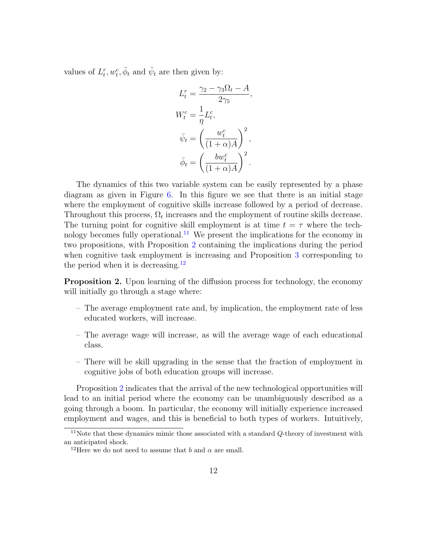values of  $L_t^r, w_t^c, \bar{\phi}_t$  and  $\bar{\psi}_t$  are then given by:

$$
L_t^r = \frac{\gamma_2 - \gamma_3 \Omega_t - A}{2\gamma_5},
$$
  
\n
$$
W_t^c = \frac{1}{\eta} L_t^c,
$$
  
\n
$$
\bar{\psi}_t = \left(\frac{w_t^c}{(1+\alpha)A}\right)^2,
$$
  
\n
$$
\bar{\phi}_t = \left(\frac{bw_t^c}{(1+\alpha)A}\right)^2.
$$

The dynamics of this two variable system can be easily represented by a phase diagram as given in Figure [6.](#page-39-0) In this figure we see that there is an initial stage where the employment of cognitive skills increase followed by a period of decrease. Throughout this process,  $\Omega_t$  increases and the employment of routine skills decrease. The turning point for cognitive skill employment is at time  $t = \tau$  where the tech-nology becomes fully operational.<sup>[11](#page-12-0)</sup> We present the implications for the economy in two propositions, with Proposition [2](#page-12-1) containing the implications during the period when cognitive task employment is increasing and Proposition [3](#page-13-0) corresponding to the period when it is decreasing.<sup>[12](#page-12-2)</sup>

<span id="page-12-1"></span>**Proposition 2.** Upon learning of the diffusion process for technology, the economy will initially go through a stage where:

- The average employment rate and, by implication, the employment rate of less educated workers, will increase.
- The average wage will increase, as will the average wage of each educational class.
- There will be skill upgrading in the sense that the fraction of employment in cognitive jobs of both education groups will increase.

Proposition [2](#page-12-1) indicates that the arrival of the new technological opportunities will lead to an initial period where the economy can be unambiguously described as a going through a boom. In particular, the economy will initially experience increased employment and wages, and this is beneficial to both types of workers. Intuitively,

<span id="page-12-0"></span><sup>&</sup>lt;sup>11</sup>Note that these dynamics mimic those associated with a standard  $Q$ -theory of investment with an anticipated shock.

<span id="page-12-2"></span><sup>&</sup>lt;sup>12</sup>Here we do not need to assume that b and  $\alpha$  are small.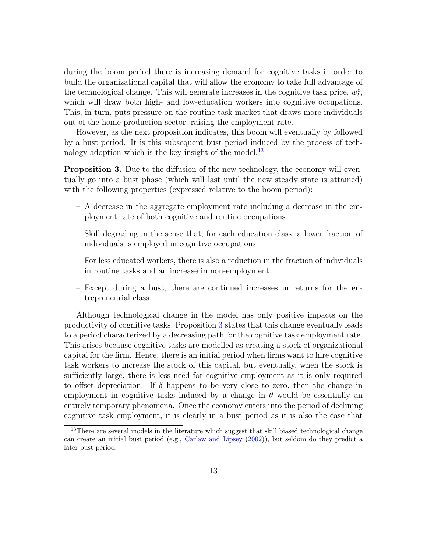during the boom period there is increasing demand for cognitive tasks in order to build the organizational capital that will allow the economy to take full advantage of the technological change. This will generate increases in the cognitive task price,  $w_t^c$ , which will draw both high- and low-education workers into cognitive occupations. This, in turn, puts pressure on the routine task market that draws more individuals out of the home production sector, raising the employment rate.

However, as the next proposition indicates, this boom will eventually by followed by a bust period. It is this subsequent bust period induced by the process of technology adoption which is the key insight of the model. $^{13}$  $^{13}$  $^{13}$ 

<span id="page-13-0"></span>**Proposition 3.** Due to the diffusion of the new technology, the economy will eventually go into a bust phase (which will last until the new steady state is attained) with the following properties (expressed relative to the boom period):

- A decrease in the aggregate employment rate including a decrease in the employment rate of both cognitive and routine occupations.
- Skill degrading in the sense that, for each education class, a lower fraction of individuals is employed in cognitive occupations.
- For less educated workers, there is also a reduction in the fraction of individuals in routine tasks and an increase in non-employment.
- Except during a bust, there are continued increases in returns for the entrepreneurial class.

Although technological change in the model has only positive impacts on the productivity of cognitive tasks, Proposition [3](#page-13-0) states that this change eventually leads to a period characterized by a decreasing path for the cognitive task employment rate. This arises because cognitive tasks are modelled as creating a stock of organizational capital for the firm. Hence, there is an initial period when firms want to hire cognitive task workers to increase the stock of this capital, but eventually, when the stock is sufficiently large, there is less need for cognitive employment as it is only required to offset depreciation. If  $\delta$  happens to be very close to zero, then the change in employment in cognitive tasks induced by a change in  $\theta$  would be essentially an entirely temporary phenomena. Once the economy enters into the period of declining cognitive task employment, it is clearly in a bust period as it is also the case that

<span id="page-13-1"></span><sup>&</sup>lt;sup>13</sup>There are several models in the literature which suggest that skill biased technological change can create an initial bust period (e.g., [Carlaw and Lipsey](#page-32-9) [\(2002\)](#page-32-9)), but seldom do they predict a later bust period.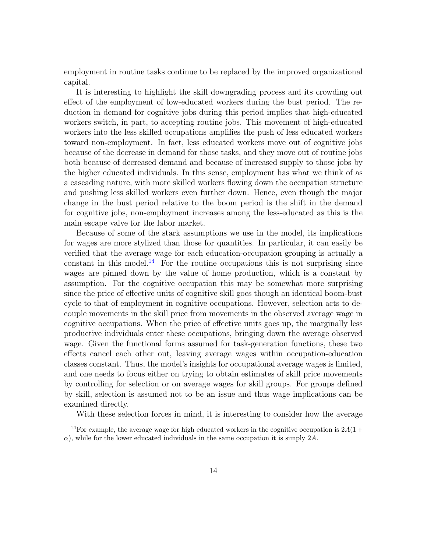employment in routine tasks continue to be replaced by the improved organizational capital.

It is interesting to highlight the skill downgrading process and its crowding out effect of the employment of low-educated workers during the bust period. The reduction in demand for cognitive jobs during this period implies that high-educated workers switch, in part, to accepting routine jobs. This movement of high-educated workers into the less skilled occupations amplifies the push of less educated workers toward non-employment. In fact, less educated workers move out of cognitive jobs because of the decrease in demand for those tasks, and they move out of routine jobs both because of decreased demand and because of increased supply to those jobs by the higher educated individuals. In this sense, employment has what we think of as a cascading nature, with more skilled workers flowing down the occupation structure and pushing less skilled workers even further down. Hence, even though the major change in the bust period relative to the boom period is the shift in the demand for cognitive jobs, non-employment increases among the less-educated as this is the main escape valve for the labor market.

Because of some of the stark assumptions we use in the model, its implications for wages are more stylized than those for quantities. In particular, it can easily be verified that the average wage for each education-occupation grouping is actually a constant in this model.<sup>[14](#page-14-0)</sup> For the routine occupations this is not surprising since wages are pinned down by the value of home production, which is a constant by assumption. For the cognitive occupation this may be somewhat more surprising since the price of effective units of cognitive skill goes though an identical boom-bust cycle to that of employment in cognitive occupations. However, selection acts to decouple movements in the skill price from movements in the observed average wage in cognitive occupations. When the price of effective units goes up, the marginally less productive individuals enter these occupations, bringing down the average observed wage. Given the functional forms assumed for task-generation functions, these two effects cancel each other out, leaving average wages within occupation-education classes constant. Thus, the model's insights for occupational average wages is limited, and one needs to focus either on trying to obtain estimates of skill price movements by controlling for selection or on average wages for skill groups. For groups defined by skill, selection is assumed not to be an issue and thus wage implications can be examined directly.

<span id="page-14-0"></span>With these selection forces in mind, it is interesting to consider how the average

<sup>&</sup>lt;sup>14</sup>For example, the average wage for high educated workers in the cognitive occupation is  $2A(1 +$  $\alpha$ ), while for the lower educated individuals in the same occupation it is simply 2A.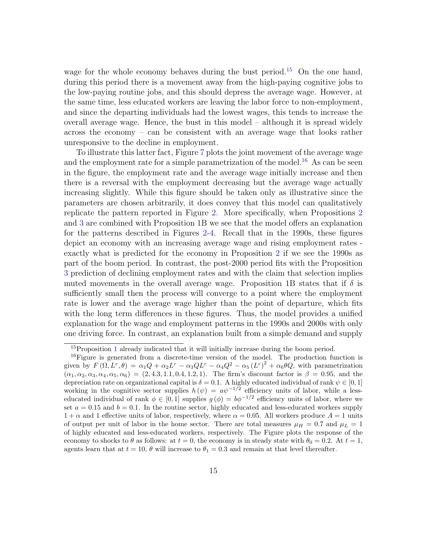wage for the whole economy behaves during the bust period.<sup>[15](#page-15-0)</sup> On the one hand, during this period there is a movement away from the high-paying cognitive jobs to the low-paying routine jobs, and this should depress the average wage. However, at the same time, less educated workers are leaving the labor force to non-employment, and since the departing individuals had the lowest wages, this tends to increase the overall average wage. Hence, the bust in this model – although it is spread widely across the economy – can be consistent with an average wage that looks rather unresponsive to the decline in employment.

To illustrate this latter fact, Figure [7](#page-40-0) plots the joint movement of the average wage and the employment rate for a simple parametrization of the model.<sup>[16](#page-15-1)</sup> As can be seen in the figure, the employment rate and the average wage initially increase and then there is a reversal with the employment decreasing but the average wage actually increasing slightly. While this figure should be taken only as illustrative since the parameters are chosen arbitrarily, it does convey that this model can qualitatively replicate the pattern reported in Figure [2.](#page-35-0) More specifically, when Propositions [2](#page-12-1) and [3](#page-13-0) are combined with Proposition 1B we see that the model offers an explanation for the patterns described in Figures [2-](#page-35-0)[4.](#page-37-0) Recall that in the 1990s, these figures depict an economy with an increasing average wage and rising employment rates exactly what is predicted for the economy in Proposition [2](#page-12-1) if we see the 1990s as part of the boom period. In contrast, the post-2000 period fits with the Proposition [3](#page-13-0) prediction of declining employment rates and with the claim that selection implies muted movements in the overall average wage. Proposition 1B states that if  $\delta$  is sufficiently small then the process will converge to a point where the employment rate is lower and the average wage higher than the point of departure, which fits with the long term differences in these figures. Thus, the model provides a unified explanation for the wage and employment patterns in the 1990s and 2000s with only one driving force. In contrast, an explanation built from a simple demand and supply

<span id="page-15-1"></span><span id="page-15-0"></span><sup>&</sup>lt;sup>[1](#page-10-0)5</sup>Proposition 1 already indicated that it will initially increase during the boom period.

 $^{16}$ Figure is generated from a discrete-time version of the model. The production function is given by  $F(\Omega, L^r, \theta) = \alpha_1 Q + \alpha_2 L^r - \alpha_3 Q L^r - \alpha_4 Q^2 - \alpha_5 (L^r)^2 + \alpha_6 \theta Q$ , with parametrization  $(\alpha_1, \alpha_2, \alpha_3, \alpha_4, \alpha_5, \alpha_6) = (2, 4.3, 1.1, 0.4, 1.2, 1)$ . The firm's discount factor is  $\beta = 0.95$ , and the depreciation rate on organizational capital is  $\delta = 0.1$ . A highly educated individual of rank  $\psi \in [0, 1]$ working in the cognitive sector supplies  $h(\psi) = a\psi^{-1/2}$  efficiency units of labor, while a lesseducated individual of rank  $\phi \in [0,1]$  supplies  $g(\phi) = b\phi^{-1/2}$  efficiency units of labor, where we set  $a = 0.15$  and  $b = 0.1$ . In the routine sector, highly educated and less-educated workers supply  $1 + \alpha$  and 1 effective units of labor, respectively, where  $\alpha = 0.05$ . All workers produce  $A = 1$  units of output per unit of labor in the home sector. There are total measures  $\mu_H = 0.7$  and  $\mu_L = 1$ of highly educated and less-educated workers, respectively. The Figure plots the response of the economy to shocks to  $\theta$  as follows: at  $t = 0$ , the economy is in steady state with  $\theta_0 = 0.2$ . At  $t = 1$ , agents learn that at  $t = 10$ ,  $\theta$  will increase to  $\theta_1 = 0.3$  and remain at that level thereafter.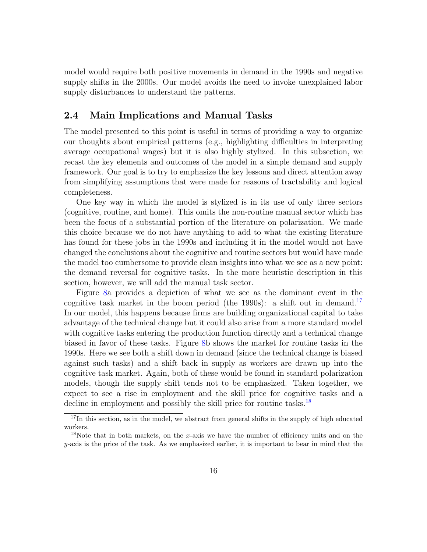model would require both positive movements in demand in the 1990s and negative supply shifts in the 2000s. Our model avoids the need to invoke unexplained labor supply disturbances to understand the patterns.

#### 2.4 Main Implications and Manual Tasks

The model presented to this point is useful in terms of providing a way to organize our thoughts about empirical patterns (e.g., highlighting difficulties in interpreting average occupational wages) but it is also highly stylized. In this subsection, we recast the key elements and outcomes of the model in a simple demand and supply framework. Our goal is to try to emphasize the key lessons and direct attention away from simplifying assumptions that were made for reasons of tractability and logical completeness.

One key way in which the model is stylized is in its use of only three sectors (cognitive, routine, and home). This omits the non-routine manual sector which has been the focus of a substantial portion of the literature on polarization. We made this choice because we do not have anything to add to what the existing literature has found for these jobs in the 1990s and including it in the model would not have changed the conclusions about the cognitive and routine sectors but would have made the model too cumbersome to provide clean insights into what we see as a new point: the demand reversal for cognitive tasks. In the more heuristic description in this section, however, we will add the manual task sector.

Figure [8a](#page-41-0) provides a depiction of what we see as the dominant event in the cognitive task market in the boom period (the 1990s): a shift out in demand.<sup>[17](#page-16-0)</sup> In our model, this happens because firms are building organizational capital to take advantage of the technical change but it could also arise from a more standard model with cognitive tasks entering the production function directly and a technical change biased in favor of these tasks. Figure [8b](#page-41-0) shows the market for routine tasks in the 1990s. Here we see both a shift down in demand (since the technical change is biased against such tasks) and a shift back in supply as workers are drawn up into the cognitive task market. Again, both of these would be found in standard polarization models, though the supply shift tends not to be emphasized. Taken together, we expect to see a rise in employment and the skill price for cognitive tasks and a decline in employment and possibly the skill price for routine tasks.<sup>[18](#page-16-1)</sup>

<span id="page-16-0"></span> $17$ In this section, as in the model, we abstract from general shifts in the supply of high educated workers.

<span id="page-16-1"></span><sup>&</sup>lt;sup>18</sup>Note that in both markets, on the x-axis we have the number of efficiency units and on the  $y$ -axis is the price of the task. As we emphasized earlier, it is important to bear in mind that the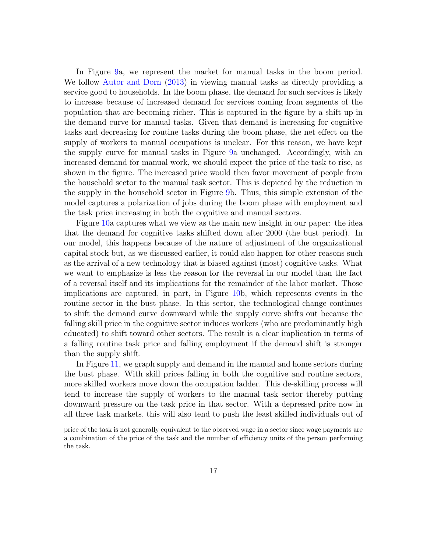In Figure [9a](#page-42-0), we represent the market for manual tasks in the boom period. We follow [Autor and Dorn](#page-32-10) [\(2013\)](#page-32-10) in viewing manual tasks as directly providing a service good to households. In the boom phase, the demand for such services is likely to increase because of increased demand for services coming from segments of the population that are becoming richer. This is captured in the figure by a shift up in the demand curve for manual tasks. Given that demand is increasing for cognitive tasks and decreasing for routine tasks during the boom phase, the net effect on the supply of workers to manual occupations is unclear. For this reason, we have kept the supply curve for manual tasks in Figure [9a](#page-42-0) unchanged. Accordingly, with an increased demand for manual work, we should expect the price of the task to rise, as shown in the figure. The increased price would then favor movement of people from the household sector to the manual task sector. This is depicted by the reduction in the supply in the household sector in Figure [9b](#page-42-0). Thus, this simple extension of the model captures a polarization of jobs during the boom phase with employment and the task price increasing in both the cognitive and manual sectors.

Figure [10a](#page-43-0) captures what we view as the main new insight in our paper: the idea that the demand for cognitive tasks shifted down after 2000 (the bust period). In our model, this happens because of the nature of adjustment of the organizational capital stock but, as we discussed earlier, it could also happen for other reasons such as the arrival of a new technology that is biased against (most) cognitive tasks. What we want to emphasize is less the reason for the reversal in our model than the fact of a reversal itself and its implications for the remainder of the labor market. Those implications are captured, in part, in Figure [10b](#page-43-0), which represents events in the routine sector in the bust phase. In this sector, the technological change continues to shift the demand curve downward while the supply curve shifts out because the falling skill price in the cognitive sector induces workers (who are predominantly high educated) to shift toward other sectors. The result is a clear implication in terms of a falling routine task price and falling employment if the demand shift is stronger than the supply shift.

In Figure [11,](#page-44-0) we graph supply and demand in the manual and home sectors during the bust phase. With skill prices falling in both the cognitive and routine sectors, more skilled workers move down the occupation ladder. This de-skilling process will tend to increase the supply of workers to the manual task sector thereby putting downward pressure on the task price in that sector. With a depressed price now in all three task markets, this will also tend to push the least skilled individuals out of

price of the task is not generally equivalent to the observed wage in a sector since wage payments are a combination of the price of the task and the number of efficiency units of the person performing the task.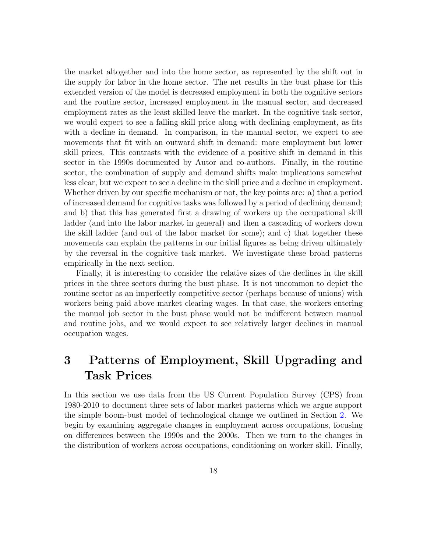the market altogether and into the home sector, as represented by the shift out in the supply for labor in the home sector. The net results in the bust phase for this extended version of the model is decreased employment in both the cognitive sectors and the routine sector, increased employment in the manual sector, and decreased employment rates as the least skilled leave the market. In the cognitive task sector, we would expect to see a falling skill price along with declining employment, as fits with a decline in demand. In comparison, in the manual sector, we expect to see movements that fit with an outward shift in demand: more employment but lower skill prices. This contrasts with the evidence of a positive shift in demand in this sector in the 1990s documented by Autor and co-authors. Finally, in the routine sector, the combination of supply and demand shifts make implications somewhat less clear, but we expect to see a decline in the skill price and a decline in employment. Whether driven by our specific mechanism or not, the key points are: a) that a period of increased demand for cognitive tasks was followed by a period of declining demand; and b) that this has generated first a drawing of workers up the occupational skill ladder (and into the labor market in general) and then a cascading of workers down the skill ladder (and out of the labor market for some); and c) that together these movements can explain the patterns in our initial figures as being driven ultimately by the reversal in the cognitive task market. We investigate these broad patterns empirically in the next section.

Finally, it is interesting to consider the relative sizes of the declines in the skill prices in the three sectors during the bust phase. It is not uncommon to depict the routine sector as an imperfectly competitive sector (perhaps because of unions) with workers being paid above market clearing wages. In that case, the workers entering the manual job sector in the bust phase would not be indifferent between manual and routine jobs, and we would expect to see relatively larger declines in manual occupation wages.

## <span id="page-18-0"></span>3 Patterns of Employment, Skill Upgrading and Task Prices

In this section we use data from the US Current Population Survey (CPS) from 1980-2010 to document three sets of labor market patterns which we argue support the simple boom-bust model of technological change we outlined in Section [2.](#page-5-0) We begin by examining aggregate changes in employment across occupations, focusing on differences between the 1990s and the 2000s. Then we turn to the changes in the distribution of workers across occupations, conditioning on worker skill. Finally,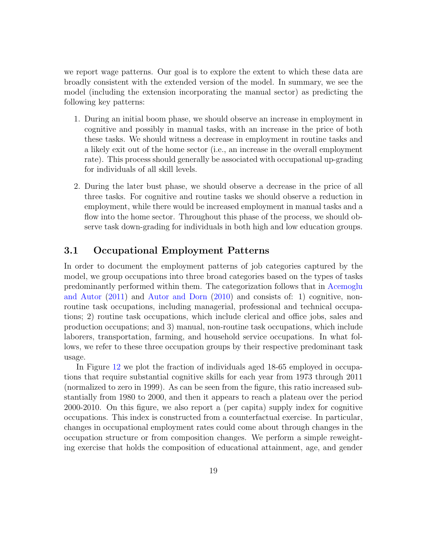we report wage patterns. Our goal is to explore the extent to which these data are broadly consistent with the extended version of the model. In summary, we see the model (including the extension incorporating the manual sector) as predicting the following key patterns:

- 1. During an initial boom phase, we should observe an increase in employment in cognitive and possibly in manual tasks, with an increase in the price of both these tasks. We should witness a decrease in employment in routine tasks and a likely exit out of the home sector (i.e., an increase in the overall employment rate). This process should generally be associated with occupational up-grading for individuals of all skill levels.
- 2. During the later bust phase, we should observe a decrease in the price of all three tasks. For cognitive and routine tasks we should observe a reduction in employment, while there would be increased employment in manual tasks and a flow into the home sector. Throughout this phase of the process, we should observe task down-grading for individuals in both high and low education groups.

### 3.1 Occupational Employment Patterns

In order to document the employment patterns of job categories captured by the model, we group occupations into three broad categories based on the types of tasks predominantly performed within them. The categorization follows that in [Acemoglu](#page-32-8) [and Autor](#page-32-8) [\(2011\)](#page-32-8) and [Autor and Dorn](#page-32-4) [\(2010\)](#page-32-4) and consists of: 1) cognitive, nonroutine task occupations, including managerial, professional and technical occupations; 2) routine task occupations, which include clerical and office jobs, sales and production occupations; and 3) manual, non-routine task occupations, which include laborers, transportation, farming, and household service occupations. In what follows, we refer to these three occupation groups by their respective predominant task usage.

In Figure [12](#page-45-0) we plot the fraction of individuals aged 18-65 employed in occupations that require substantial cognitive skills for each year from 1973 through 2011 (normalized to zero in 1999). As can be seen from the figure, this ratio increased substantially from 1980 to 2000, and then it appears to reach a plateau over the period 2000-2010. On this figure, we also report a (per capita) supply index for cognitive occupations. This index is constructed from a counterfactual exercise. In particular, changes in occupational employment rates could come about through changes in the occupation structure or from composition changes. We perform a simple reweighting exercise that holds the composition of educational attainment, age, and gender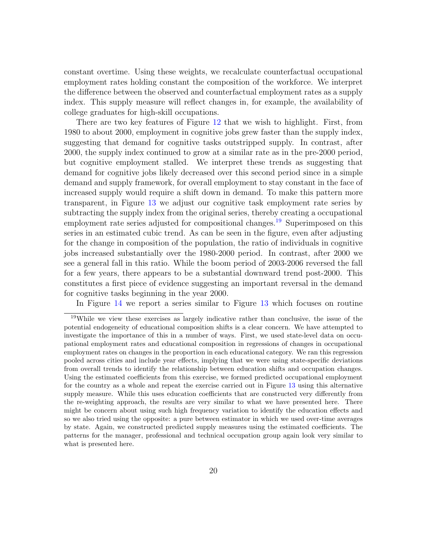constant overtime. Using these weights, we recalculate counterfactual occupational employment rates holding constant the composition of the workforce. We interpret the difference between the observed and counterfactual employment rates as a supply index. This supply measure will reflect changes in, for example, the availability of college graduates for high-skill occupations.

There are two key features of Figure [12](#page-45-0) that we wish to highlight. First, from 1980 to about 2000, employment in cognitive jobs grew faster than the supply index, suggesting that demand for cognitive tasks outstripped supply. In contrast, after 2000, the supply index continued to grow at a similar rate as in the pre-2000 period, but cognitive employment stalled. We interpret these trends as suggesting that demand for cognitive jobs likely decreased over this second period since in a simple demand and supply framework, for overall employment to stay constant in the face of increased supply would require a shift down in demand. To make this pattern more transparent, in Figure [13](#page-46-0) we adjust our cognitive task employment rate series by subtracting the supply index from the original series, thereby creating a occupational employment rate series adjusted for compositional changes.<sup>[19](#page-20-0)</sup> Superimposed on this series in an estimated cubic trend. As can be seen in the figure, even after adjusting for the change in composition of the population, the ratio of individuals in cognitive jobs increased substantially over the 1980-2000 period. In contrast, after 2000 we see a general fall in this ratio. While the boom period of 2003-2006 reversed the fall for a few years, there appears to be a substantial downward trend post-2000. This constitutes a first piece of evidence suggesting an important reversal in the demand for cognitive tasks beginning in the year 2000.

<span id="page-20-0"></span>In Figure [14](#page-47-0) we report a series similar to Figure [13](#page-46-0) which focuses on routine

<sup>&</sup>lt;sup>19</sup>While we view these exercises as largely indicative rather than conclusive, the issue of the potential endogeneity of educational composition shifts is a clear concern. We have attempted to investigate the importance of this in a number of ways. First, we used state-level data on occupational employment rates and educational composition in regressions of changes in occupational employment rates on changes in the proportion in each educational category. We ran this regression pooled across cities and include year effects, implying that we were using state-specific deviations from overall trends to identify the relationship between education shifts and occupation changes. Using the estimated coefficients from this exercise, we formed predicted occupational employment for the country as a whole and repeat the exercise carried out in Figure [13](#page-46-0) using this alternative supply measure. While this uses education coefficients that are constructed very differently from the re-weighting approach, the results are very similar to what we have presented here. There might be concern about using such high frequency variation to identify the education effects and so we also tried using the opposite: a pure between estimator in which we used over-time averages by state. Again, we constructed predicted supply measures using the estimated coefficients. The patterns for the manager, professional and technical occupation group again look very similar to what is presented here.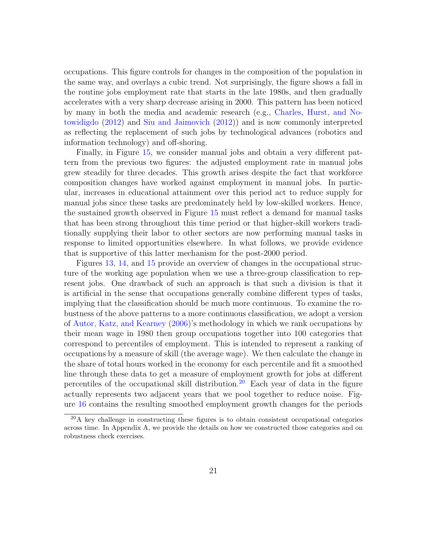occupations. This figure controls for changes in the composition of the population in the same way, and overlays a cubic trend. Not surprisingly, the figure shows a fall in the routine jobs employment rate that starts in the late 1980s, and then gradually accelerates with a very sharp decrease arising in 2000. This pattern has been noticed by many in both the media and academic research (e.g., [Charles, Hurst, and No](#page-32-0)[towidigdo](#page-32-0) [\(2012\)](#page-32-0) and [Siu and Jaimovich](#page-33-0) [\(2012\)](#page-33-0)) and is now commonly interpreted as reflecting the replacement of such jobs by technological advances (robotics and information technology) and off-shoring.

Finally, in Figure [15,](#page-48-0) we consider manual jobs and obtain a very different pattern from the previous two figures: the adjusted employment rate in manual jobs grew steadily for three decades. This growth arises despite the fact that workforce composition changes have worked against employment in manual jobs. In particular, increases in educational attainment over this period act to reduce supply for manual jobs since these tasks are predominately held by low-skilled workers. Hence, the sustained growth observed in Figure [15](#page-48-0) must reflect a demand for manual tasks that has been strong throughout this time period or that higher-skill workers traditionally supplying their labor to other sectors are now performing manual tasks in response to limited opportunities elsewhere. In what follows, we provide evidence that is supportive of this latter mechanism for the post-2000 period.

Figures [13,](#page-46-0) [14,](#page-47-0) and [15](#page-48-0) provide an overview of changes in the occupational structure of the working age population when we use a three-group classification to represent jobs. One drawback of such an approach is that such a division is that it is artificial in the sense that occupations generally combine different types of tasks, implying that the classification should be much more continuous. To examine the robustness of the above patterns to a more continuous classification, we adopt a version of [Autor, Katz, and Kearney](#page-32-5) [\(2006\)](#page-32-5)'s methodology in which we rank occupations by their mean wage in 1980 then group occupations together into 100 categories that correspond to percentiles of employment. This is intended to represent a ranking of occupations by a measure of skill (the average wage). We then calculate the change in the share of total hours worked in the economy for each percentile and fit a smoothed line through these data to get a measure of employment growth for jobs at different percentiles of the occupational skill distribution.<sup>[20](#page-21-0)</sup> Each year of data in the figure actually represents two adjacent years that we pool together to reduce noise. Figure [16](#page-49-0) contains the resulting smoothed employment growth changes for the periods

<span id="page-21-0"></span> $^{20}$ A key challenge in constructing these figures is to obtain consistent occupational categories across time. In Appendix A, we provide the details on how we constructed those categories and on robustness check exercises.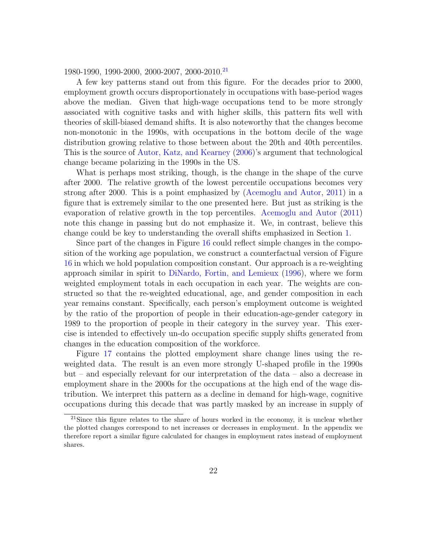1980-1990, 1990-2000, 2000-2007, 2000-2010.[21](#page-22-0)

A few key patterns stand out from this figure. For the decades prior to 2000, employment growth occurs disproportionately in occupations with base-period wages above the median. Given that high-wage occupations tend to be more strongly associated with cognitive tasks and with higher skills, this pattern fits well with theories of skill-biased demand shifts. It is also noteworthy that the changes become non-monotonic in the 1990s, with occupations in the bottom decile of the wage distribution growing relative to those between about the 20th and 40th percentiles. This is the source of [Autor, Katz, and Kearney](#page-32-5) [\(2006\)](#page-32-5)'s argument that technological change became polarizing in the 1990s in the US.

What is perhaps most striking, though, is the change in the shape of the curve after 2000. The relative growth of the lowest percentile occupations becomes very strong after 2000. This is a point emphasized by [\(Acemoglu and Autor,](#page-32-8) [2011\)](#page-32-8) in a figure that is extremely similar to the one presented here. But just as striking is the evaporation of relative growth in the top percentiles. [Acemoglu and Autor](#page-32-8) [\(2011\)](#page-32-8) note this change in passing but do not emphasize it. We, in contrast, believe this change could be key to understanding the overall shifts emphasized in Section [1.](#page-3-0)

Since part of the changes in Figure [16](#page-49-0) could reflect simple changes in the composition of the working age population, we construct a counterfactual version of Figure [16](#page-49-0) in which we hold population composition constant. Our approach is a re-weighting approach similar in spirit to [DiNardo, Fortin, and Lemieux](#page-32-11) [\(1996\)](#page-32-11), where we form weighted employment totals in each occupation in each year. The weights are constructed so that the re-weighted educational, age, and gender composition in each year remains constant. Specifically, each person's employment outcome is weighted by the ratio of the proportion of people in their education-age-gender category in 1989 to the proportion of people in their category in the survey year. This exercise is intended to effectively un-do occupation specific supply shifts generated from changes in the education composition of the workforce.

Figure [17](#page-50-0) contains the plotted employment share change lines using the reweighted data. The result is an even more strongly U-shaped profile in the 1990s but – and especially relevant for our interpretation of the data – also a decrease in employment share in the 2000s for the occupations at the high end of the wage distribution. We interpret this pattern as a decline in demand for high-wage, cognitive occupations during this decade that was partly masked by an increase in supply of

<span id="page-22-0"></span> $21$ Since this figure relates to the share of hours worked in the economy, it is unclear whether the plotted changes correspond to net increases or decreases in employment. In the appendix we therefore report a similar figure calculated for changes in employment rates instead of employment shares.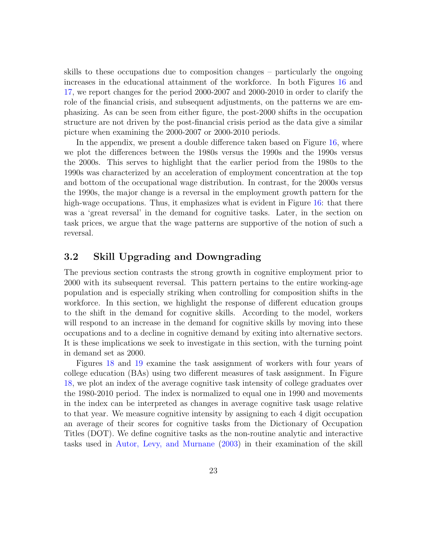skills to these occupations due to composition changes – particularly the ongoing increases in the educational attainment of the workforce. In both Figures [16](#page-49-0) and [17,](#page-50-0) we report changes for the period 2000-2007 and 2000-2010 in order to clarify the role of the financial crisis, and subsequent adjustments, on the patterns we are emphasizing. As can be seen from either figure, the post-2000 shifts in the occupation structure are not driven by the post-financial crisis period as the data give a similar picture when examining the 2000-2007 or 2000-2010 periods.

In the appendix, we present a double difference taken based on Figure [16,](#page-49-0) where we plot the differences between the 1980s versus the 1990s and the 1990s versus the 2000s. This serves to highlight that the earlier period from the 1980s to the 1990s was characterized by an acceleration of employment concentration at the top and bottom of the occupational wage distribution. In contrast, for the 2000s versus the 1990s, the major change is a reversal in the employment growth pattern for the high-wage occupations. Thus, it emphasizes what is evident in Figure [16:](#page-49-0) that there was a 'great reversal' in the demand for cognitive tasks. Later, in the section on task prices, we argue that the wage patterns are supportive of the notion of such a reversal.

### 3.2 Skill Upgrading and Downgrading

The previous section contrasts the strong growth in cognitive employment prior to 2000 with its subsequent reversal. This pattern pertains to the entire working-age population and is especially striking when controlling for composition shifts in the workforce. In this section, we highlight the response of different education groups to the shift in the demand for cognitive skills. According to the model, workers will respond to an increase in the demand for cognitive skills by moving into these occupations and to a decline in cognitive demand by exiting into alternative sectors. It is these implications we seek to investigate in this section, with the turning point in demand set as 2000.

Figures [18](#page-51-0) and [19](#page-52-0) examine the task assignment of workers with four years of college education (BAs) using two different measures of task assignment. In Figure [18,](#page-51-0) we plot an index of the average cognitive task intensity of college graduates over the 1980-2010 period. The index is normalized to equal one in 1990 and movements in the index can be interpreted as changes in average cognitive task usage relative to that year. We measure cognitive intensity by assigning to each 4 digit occupation an average of their scores for cognitive tasks from the Dictionary of Occupation Titles (DOT). We define cognitive tasks as the non-routine analytic and interactive tasks used in [Autor, Levy, and Murnane](#page-32-3) [\(2003\)](#page-32-3) in their examination of the skill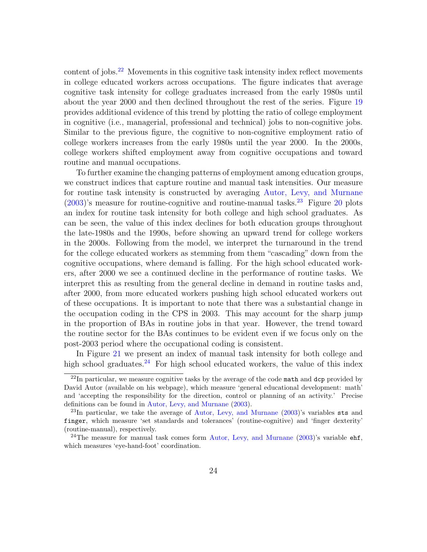content of jobs.<sup>[22](#page-24-0)</sup> Movements in this cognitive task intensity index reflect movements in college educated workers across occupations. The figure indicates that average cognitive task intensity for college graduates increased from the early 1980s until about the year 2000 and then declined throughout the rest of the series. Figure [19](#page-52-0) provides additional evidence of this trend by plotting the ratio of college employment in cognitive (i.e., managerial, professional and technical) jobs to non-cognitive jobs. Similar to the previous figure, the cognitive to non-cognitive employment ratio of college workers increases from the early 1980s until the year 2000. In the 2000s, college workers shifted employment away from cognitive occupations and toward routine and manual occupations.

To further examine the changing patterns of employment among education groups, we construct indices that capture routine and manual task intensities. Our measure for routine task intensity is constructed by averaging [Autor, Levy, and Murnane](#page-32-3)  $(2003)$ 's measure for routine-cognitive and routine-manual tasks.<sup>[23](#page-24-1)</sup> Figure [20](#page-53-0) plots an index for routine task intensity for both college and high school graduates. As can be seen, the value of this index declines for both education groups throughout the late-1980s and the 1990s, before showing an upward trend for college workers in the 2000s. Following from the model, we interpret the turnaround in the trend for the college educated workers as stemming from them "cascading" down from the cognitive occupations, where demand is falling. For the high school educated workers, after 2000 we see a continued decline in the performance of routine tasks. We interpret this as resulting from the general decline in demand in routine tasks and, after 2000, from more educated workers pushing high school educated workers out of these occupations. It is important to note that there was a substantial change in the occupation coding in the CPS in 2003. This may account for the sharp jump in the proportion of BAs in routine jobs in that year. However, the trend toward the routine sector for the BAs continues to be evident even if we focus only on the post-2003 period where the occupational coding is consistent.

In Figure [21](#page-54-0) we present an index of manual task intensity for both college and high school graduates.<sup>[24](#page-24-2)</sup> For high school educated workers, the value of this index

<span id="page-24-0"></span> $^{22}$ In particular, we measure cognitive tasks by the average of the code math and dcp provided by David Autor (available on his webpage), which measure 'general educational development: math' and 'accepting the responsibility for the direction, control or planning of an activity.' Precise definitions can be found in [Autor, Levy, and Murnane](#page-32-3) [\(2003\)](#page-32-3).

<span id="page-24-1"></span><sup>23</sup>In particular, we take the average of [Autor, Levy, and Murnane](#page-32-3) [\(2003\)](#page-32-3)'s variables sts and finger, which measure 'set standards and tolerances' (routine-cognitive) and 'finger dexterity' (routine-manual), respectively.

<span id="page-24-2"></span><sup>&</sup>lt;sup>24</sup>The measure for manual task comes form [Autor, Levy, and Murnane](#page-32-3) [\(2003\)](#page-32-3)'s variable  $\text{ehf}$ , which measures 'eye-hand-foot' coordination.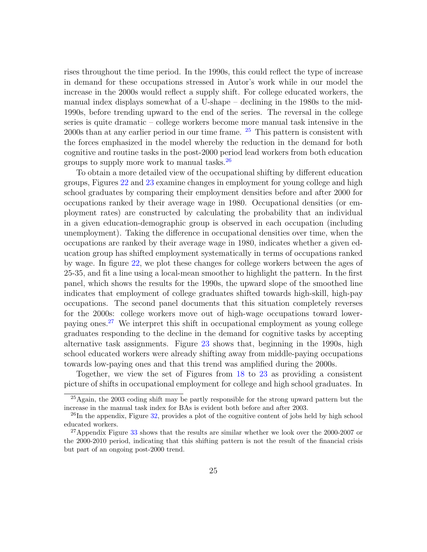rises throughout the time period. In the 1990s, this could reflect the type of increase in demand for these occupations stressed in Autor's work while in our model the increase in the 2000s would reflect a supply shift. For college educated workers, the manual index displays somewhat of a U-shape – declining in the 1980s to the mid-1990s, before trending upward to the end of the series. The reversal in the college series is quite dramatic – college workers become more manual task intensive in the 2000s than at any earlier period in our time frame. [25](#page-25-0) This pattern is consistent with the forces emphasized in the model whereby the reduction in the demand for both cognitive and routine tasks in the post-2000 period lead workers from both education groups to supply more work to manual tasks.[26](#page-25-1)

To obtain a more detailed view of the occupational shifting by different education groups, Figures [22](#page-55-0) and [23](#page-56-0) examine changes in employment for young college and high school graduates by comparing their employment densities before and after 2000 for occupations ranked by their average wage in 1980. Occupational densities (or employment rates) are constructed by calculating the probability that an individual in a given education-demographic group is observed in each occupation (including unemployment). Taking the difference in occupational densities over time, when the occupations are ranked by their average wage in 1980, indicates whether a given education group has shifted employment systematically in terms of occupations ranked by wage. In figure [22,](#page-55-0) we plot these changes for college workers between the ages of 25-35, and fit a line using a local-mean smoother to highlight the pattern. In the first panel, which shows the results for the 1990s, the upward slope of the smoothed line indicates that employment of college graduates shifted towards high-skill, high-pay occupations. The second panel documents that this situation completely reverses for the 2000s: college workers move out of high-wage occupations toward lowerpaying ones.[27](#page-25-2) We interpret this shift in occupational employment as young college graduates responding to the decline in the demand for cognitive tasks by accepting alternative task assignments. Figure [23](#page-56-0) shows that, beginning in the 1990s, high school educated workers were already shifting away from middle-paying occupations towards low-paying ones and that this trend was amplified during the 2000s.

Together, we view the set of Figures from [18](#page-51-0) to [23](#page-56-0) as providing a consistent picture of shifts in occupational employment for college and high school graduates. In

<span id="page-25-0"></span> $^{25}$ Again, the 2003 coding shift may be partly responsible for the strong upward pattern but the increase in the manual task index for BAs is evident both before and after 2003.

<span id="page-25-1"></span><sup>&</sup>lt;sup>26</sup>In the appendix, Figure [32,](#page-67-0) provides a plot of the cognitive content of jobs held by high school educated workers.

<span id="page-25-2"></span><sup>&</sup>lt;sup>27</sup>Appendix Figure [33](#page-68-0) shows that the results are similar whether we look over the 2000-2007 or the 2000-2010 period, indicating that this shifting pattern is not the result of the financial crisis but part of an ongoing post-2000 trend.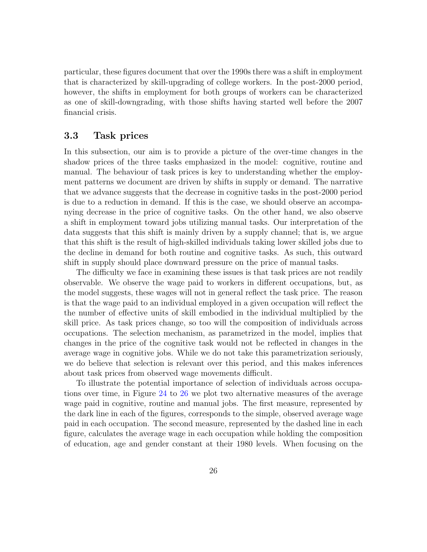particular, these figures document that over the 1990s there was a shift in employment that is characterized by skill-upgrading of college workers. In the post-2000 period, however, the shifts in employment for both groups of workers can be characterized as one of skill-downgrading, with those shifts having started well before the 2007 financial crisis.

#### 3.3 Task prices

In this subsection, our aim is to provide a picture of the over-time changes in the shadow prices of the three tasks emphasized in the model: cognitive, routine and manual. The behaviour of task prices is key to understanding whether the employment patterns we document are driven by shifts in supply or demand. The narrative that we advance suggests that the decrease in cognitive tasks in the post-2000 period is due to a reduction in demand. If this is the case, we should observe an accompanying decrease in the price of cognitive tasks. On the other hand, we also observe a shift in employment toward jobs utilizing manual tasks. Our interpretation of the data suggests that this shift is mainly driven by a supply channel; that is, we argue that this shift is the result of high-skilled individuals taking lower skilled jobs due to the decline in demand for both routine and cognitive tasks. As such, this outward shift in supply should place downward pressure on the price of manual tasks.

The difficulty we face in examining these issues is that task prices are not readily observable. We observe the wage paid to workers in different occupations, but, as the model suggests, these wages will not in general reflect the task price. The reason is that the wage paid to an individual employed in a given occupation will reflect the the number of effective units of skill embodied in the individual multiplied by the skill price. As task prices change, so too will the composition of individuals across occupations. The selection mechanism, as parametrized in the model, implies that changes in the price of the cognitive task would not be reflected in changes in the average wage in cognitive jobs. While we do not take this parametrization seriously, we do believe that selection is relevant over this period, and this makes inferences about task prices from observed wage movements difficult.

To illustrate the potential importance of selection of individuals across occupations over time, in Figure [24](#page-57-0) to [26](#page-59-0) we plot two alternative measures of the average wage paid in cognitive, routine and manual jobs. The first measure, represented by the dark line in each of the figures, corresponds to the simple, observed average wage paid in each occupation. The second measure, represented by the dashed line in each figure, calculates the average wage in each occupation while holding the composition of education, age and gender constant at their 1980 levels. When focusing on the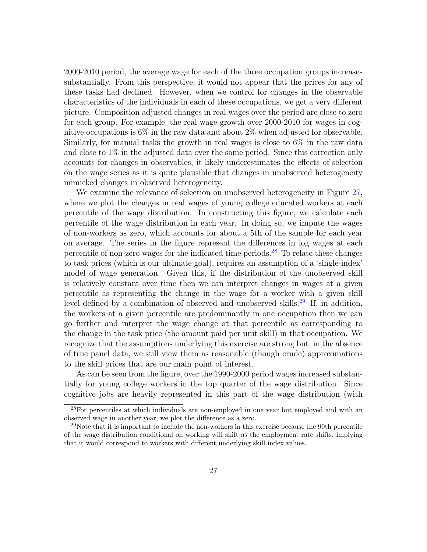2000-2010 period, the average wage for each of the three occupation groups increases substantially. From this perspective, it would not appear that the prices for any of these tasks had declined. However, when we control for changes in the observable characteristics of the individuals in each of these occupations, we get a very different picture. Composition adjusted changes in real wages over the period are close to zero for each group. For example, the real wage growth over 2000-2010 for wages in cognitive occupations is  $6\%$  in the raw data and about  $2\%$  when adjusted for observable. Similarly, for manual tasks the growth in real wages is close to 6% in the raw data and close to 1% in the adjusted data over the same period. Since this correction only accounts for changes in observables, it likely underestimates the effects of selection on the wage series as it is quite plausible that changes in unobserved heterogeneity mimicked changes in observed heterogeneity.

We examine the relevance of selection on unobserved heterogeneity in Figure [27,](#page-60-0) where we plot the changes in real wages of young college educated workers at each percentile of the wage distribution. In constructing this figure, we calculate each percentile of the wage distribution in each year. In doing so, we impute the wages of non-workers as zero, which accounts for about a 5th of the sample for each year on average. The series in the figure represent the differences in log wages at each percentile of non-zero wages for the indicated time periods.<sup>[28](#page-27-0)</sup> To relate these changes to task prices (which is our ultimate goal), requires an assumption of a 'single-index' model of wage generation. Given this, if the distribution of the unobserved skill is relatively constant over time then we can interpret changes in wages at a given percentile as representing the change in the wage for a worker with a given skill level defined by a combination of observed and unobserved skills.[29](#page-27-1) If, in addition, the workers at a given percentile are predominantly in one occupation then we can go further and interpret the wage change at that percentile as corresponding to the change in the task price (the amount paid per unit skill) in that occupation. We recognize that the assumptions underlying this exercise are strong but, in the absence of true panel data, we still view them as reasonable (though crude) approximations to the skill prices that are our main point of interest.

As can be seen from the figure, over the 1990-2000 period wages increased substantially for young college workers in the top quarter of the wage distribution. Since cognitive jobs are heavily represented in this part of the wage distribution (with

<span id="page-27-0"></span><sup>28</sup>For percentiles at which individuals are non-employed in one year but employed and with an observed wage in another year, we plot the difference as a zero.

<span id="page-27-1"></span> $^{29}$ Note that it is important to include the non-workers in this exercise because the 90th percentile of the wage distribution conditional on working will shift as the employment rate shifts, implying that it would correspond to workers with different underlying skill index values.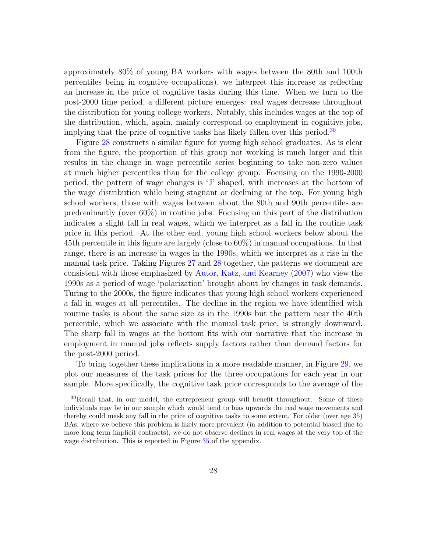approximately 80% of young BA workers with wages between the 80th and 100th percentiles being in cogntive occupations), we interpret this increase as reflecting an increase in the price of cognitive tasks during this time. When we turn to the post-2000 time period, a different picture emerges: real wages decrease throughout the distribution for young college workers. Notably, this includes wages at the top of the distribution, which, again, mainly correspond to employment in cognitive jobs, implying that the price of cognitive tasks has likely fallen over this period.<sup>[30](#page-28-0)</sup>

Figure [28](#page-61-0) constructs a similar figure for young high school graduates. As is clear from the figure, the proportion of this group not working is much larger and this results in the change in wage percentile series beginning to take non-zero values at much higher percentiles than for the college group. Focusing on the 1990-2000 period, the pattern of wage changes is 'J' shaped, with increases at the bottom of the wage distribution while being stagnant or declining at the top. For young high school workers, those with wages between about the 80th and 90th percentiles are predominantly (over 60%) in routine jobs. Focusing on this part of the distribution indicates a slight fall in real wages, which we interpret as a fall in the routine task price in this period. At the other end, young high school workers below about the 45th percentile in this figure are largely (close to 60%) in manual occupations. In that range, there is an increase in wages in the 1990s, which we interpret as a rise in the manual task price. Taking Figures [27](#page-60-0) and [28](#page-61-0) together, the patterns we document are consistent with those emphasized by [Autor, Katz, and Kearney](#page-32-6) [\(2007\)](#page-32-6) who view the 1990s as a period of wage 'polarization' brought about by changes in task demands. Turing to the 2000s, the figure indicates that young high school workers experienced a fall in wages at all percentiles. The decline in the region we have identified with routine tasks is about the same size as in the 1990s but the pattern near the 40th percentile, which we associate with the manual task price, is strongly downward. The sharp fall in wages at the bottom fits with our narrative that the increase in employment in manual jobs reflects supply factors rather than demand factors for the post-2000 period.

To bring together these implications in a more readable manner, in Figure [29,](#page-62-0) we plot our measures of the task prices for the three occupations for each year in our sample. More specifically, the cognitive task price corresponds to the average of the

<span id="page-28-0"></span><sup>&</sup>lt;sup>30</sup>Recall that, in our model, the entrepreneur group will benefit throughout. Some of these individuals may be in our sample which would tend to bias upwards the real wage movements and thereby could mask any fall in the price of cognitive tasks to some extent. For older (over age 35) BAs, where we believe this problem is likely more prevalent (in addition to potential biased due to more long term implicit contracts), we do not observe declines in real wages at the very top of the wage distribution. This is reported in Figure [35](#page-70-0) of the appendix.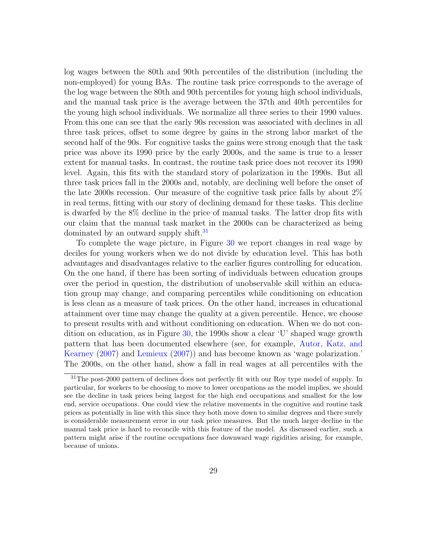log wages between the 80th and 90th percentiles of the distribution (including the non-employed) for young BAs. The routine task price corresponds to the average of the log wage between the 80th and 90th percentiles for young high school individuals, and the manual task price is the average between the 37th and 40th percentiles for the young high school individuals. We normalize all three series to their 1990 values. From this one can see that the early 90s recession was associated with declines in all three task prices, offset to some degree by gains in the strong labor market of the second half of the 90s. For cognitive tasks the gains were strong enough that the task price was above its 1990 price by the early 2000s, and the same is true to a lesser extent for manual tasks. In contrast, the routine task price does not recover its 1990 level. Again, this fits with the standard story of polarization in the 1990s. But all three task prices fall in the 2000s and, notably, are declining well before the onset of the late 2000s recession. Our measure of the cognitive task price falls by about 2% in real terms, fitting with our story of declining demand for these tasks. This decline is dwarfed by the 8% decline in the price of manual tasks. The latter drop fits with our claim that the manual task market in the 2000s can be characterized as being dominated by an outward supply shift.<sup>[31](#page-29-0)</sup>

To complete the wage picture, in Figure [30](#page-63-0) we report changes in real wage by deciles for young workers when we do not divide by education level. This has both advantages and disadvantages relative to the earlier figures controlling for education. On the one hand, if there has been sorting of individuals between education groups over the period in question, the distribution of unobservable skill within an education group may change, and comparing percentiles while conditioning on education is less clean as a measure of task prices. On the other hand, increases in educational attainment over time may change the quality at a given percentile. Hence, we choose to present results with and without conditioning on education. When we do not condition on education, as in Figure [30,](#page-63-0) the 1990s show a clear 'U' shaped wage growth pattern that has been documented elsewhere (see, for example, [Autor, Katz, and](#page-32-6) [Kearney](#page-32-6) [\(2007\)](#page-32-6) and [Lemieux](#page-33-6) [\(2007\)](#page-33-6)) and has become known as 'wage polarization.' The 2000s, on the other hand, show a fall in real wages at all percentiles with the

<span id="page-29-0"></span><sup>&</sup>lt;sup>31</sup>The post-2000 pattern of declines does not perfectly fit with our Roy type model of supply. In particular, for workers to be choosing to move to lower occupations as the model implies, we should see the decline in task prices being largest for the high end occupations and smallest for the low end, service occupations. One could view the relative movements in the cognitive and routine task prices as potentially in line with this since they both move down to similar degrees and there surely is considerable measurement error in our task price measures. But the much larger decline in the manual task price is hard to reconcile with this feature of the model. As discussed earlier, such a pattern might arise if the routine occupations face downward wage rigidities arising, for example, because of unions.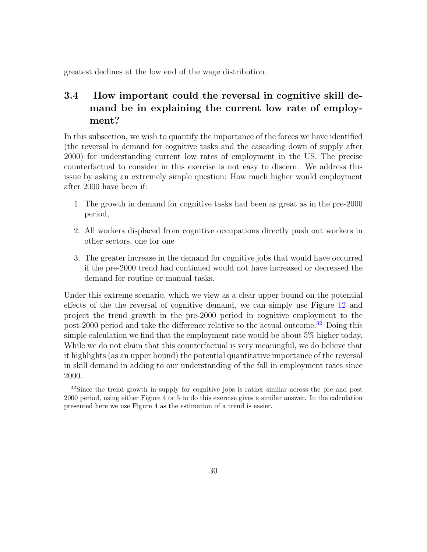greatest declines at the low end of the wage distribution.

### 3.4 How important could the reversal in cognitive skill demand be in explaining the current low rate of employment?

In this subsection, we wish to quantify the importance of the forces we have identified (the reversal in demand for cognitive tasks and the cascading down of supply after 2000) for understanding current low rates of employment in the US. The precise counterfactual to consider in this exercise is not easy to discern. We address this issue by asking an extremely simple question: How much higher would employment after 2000 have been if:

- 1. The growth in demand for cognitive tasks had been as great as in the pre-2000 period,
- 2. All workers displaced from cognitive occupations directly push out workers in other sectors, one for one
- 3. The greater increase in the demand for cognitive jobs that would have occurred if the pre-2000 trend had continued would not have increased or decreased the demand for routine or manual tasks.

Under this extreme scenario, which we view as a clear upper bound on the potential effects of the the reversal of cognitive demand, we can simply use Figure [12](#page-45-0) and project the trend growth in the pre-2000 period in cognitive employment to the post-2000 period and take the difference relative to the actual outcome.<sup>[32](#page-30-0)</sup> Doing this simple calculation we find that the employment rate would be about 5% higher today. While we do not claim that this counterfactual is very meaningful, we do believe that it highlights (as an upper bound) the potential quantitative importance of the reversal in skill demand in adding to our understanding of the fall in employment rates since 2000.

<span id="page-30-0"></span> $32\text{Since the trend growth in supply for cognitive jobs is rather similar across the pre and post.}$ 2000 period, using either Figure 4 or 5 to do this exercise gives a similar answer. In the calculation presented here we use Figure 4 as the estimation of a trend is easier.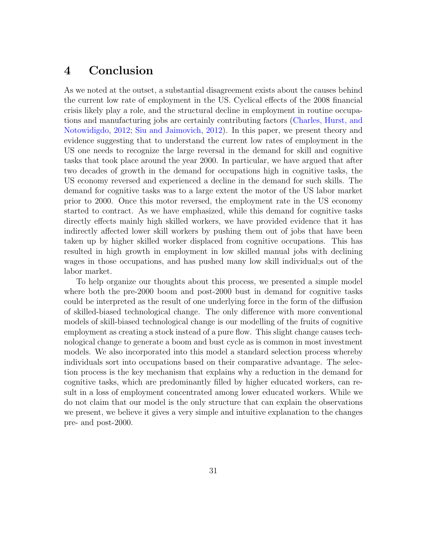### 4 Conclusion

As we noted at the outset, a substantial disagreement exists about the causes behind the current low rate of employment in the US. Cyclical effects of the 2008 financial crisis likely play a role, and the structural decline in employment in routine occupations and manufacturing jobs are certainly contributing factors [\(Charles, Hurst, and](#page-32-0) [Notowidigdo,](#page-32-0) [2012;](#page-32-0) [Siu and Jaimovich,](#page-33-0) [2012\)](#page-33-0). In this paper, we present theory and evidence suggesting that to understand the current low rates of employment in the US one needs to recognize the large reversal in the demand for skill and cognitive tasks that took place around the year 2000. In particular, we have argued that after two decades of growth in the demand for occupations high in cognitive tasks, the US economy reversed and experienced a decline in the demand for such skills. The demand for cognitive tasks was to a large extent the motor of the US labor market prior to 2000. Once this motor reversed, the employment rate in the US economy started to contract. As we have emphasized, while this demand for cognitive tasks directly effects mainly high skilled workers, we have provided evidence that it has indirectly affected lower skill workers by pushing them out of jobs that have been taken up by higher skilled worker displaced from cognitive occupations. This has resulted in high growth in employment in low skilled manual jobs with declining wages in those occupations, and has pushed many low skill individual;s out of the labor market.

To help organize our thoughts about this process, we presented a simple model where both the pre-2000 boom and post-2000 bust in demand for cognitive tasks could be interpreted as the result of one underlying force in the form of the diffusion of skilled-biased technological change. The only difference with more conventional models of skill-biased technological change is our modelling of the fruits of cognitive employment as creating a stock instead of a pure flow. This slight change causes technological change to generate a boom and bust cycle as is common in most investment models. We also incorporated into this model a standard selection process whereby individuals sort into occupations based on their comparative advantage. The selection process is the key mechanism that explains why a reduction in the demand for cognitive tasks, which are predominantly filled by higher educated workers, can result in a loss of employment concentrated among lower educated workers. While we do not claim that our model is the only structure that can explain the observations we present, we believe it gives a very simple and intuitive explanation to the changes pre- and post-2000.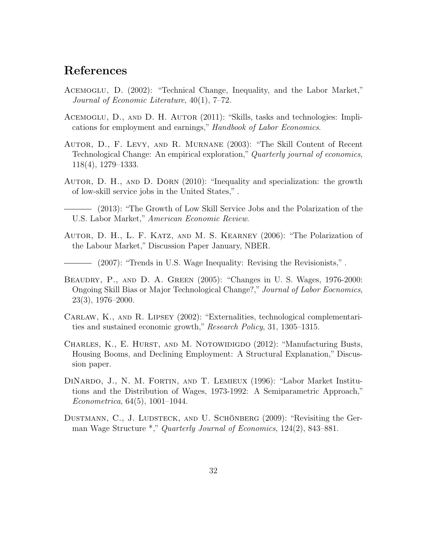### References

- <span id="page-32-2"></span>Acemoglu, D. (2002): "Technical Change, Inequality, and the Labor Market," Journal of Economic Literature, 40(1), 7–72.
- <span id="page-32-8"></span>Acemoglu, D., and D. H. Autor (2011): "Skills, tasks and technologies: Implications for employment and earnings," Handbook of Labor Economics.
- <span id="page-32-3"></span>Autor, D., F. Levy, and R. Murnane (2003): "The Skill Content of Recent Technological Change: An empirical exploration," Quarterly journal of economics, 118(4), 1279–1333.
- <span id="page-32-4"></span>Autor, D. H., and D. Dorn (2010): "Inequality and specialization: the growth of low-skill service jobs in the United States," .
- <span id="page-32-10"></span>(2013): "The Growth of Low Skill Service Jobs and the Polarization of the U.S. Labor Market," American Economic Review.
- <span id="page-32-5"></span>Autor, D. H., L. F. Katz, and M. S. Kearney (2006): "The Polarization of the Labour Market," Discussion Paper January, NBER.
- <span id="page-32-6"></span>(2007): "Trends in U.S. Wage Inequality: Revising the Revisionists," .
- <span id="page-32-1"></span>Beaudry, P., and D. A. Green (2005): "Changes in U. S. Wages, 1976-2000: Ongoing Skill Bias or Major Technological Change?," Journal of Labor Eocnomics, 23(3), 1976–2000.
- <span id="page-32-9"></span>Carlaw, K., and R. Lipsey (2002): "Externalities, technological complementarities and sustained economic growth," Research Policy, 31, 1305–1315.
- <span id="page-32-0"></span>CHARLES, K., E. HURST, AND M. NOTOWIDIGDO (2012): "Manufacturing Busts, Housing Booms, and Declining Employment: A Structural Explanation," Discussion paper.
- <span id="page-32-11"></span>DiNardo, J., N. M. Fortin, and T. Lemieux (1996): "Labor Market Institutions and the Distribution of Wages, 1973-1992: A Semiparametric Approach," Econometrica, 64(5), 1001–1044.
- <span id="page-32-7"></span>DUSTMANN, C., J. LUDSTECK, AND U. SCHÖNBERG  $(2009)$ : "Revisiting the German Wage Structure \*," Quarterly Journal of Economics, 124(2), 843–881.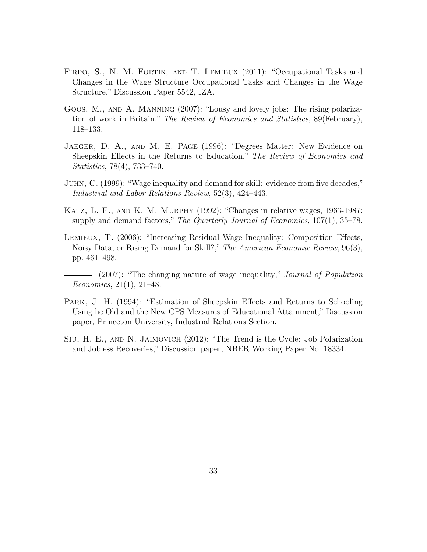- <span id="page-33-3"></span>FIRPO, S., N. M. FORTIN, AND T. LEMIEUX (2011): "Occupational Tasks and Changes in the Wage Structure Occupational Tasks and Changes in the Wage Structure," Discussion Paper 5542, IZA.
- <span id="page-33-4"></span>Goos, M., and A. Manning (2007): "Lousy and lovely jobs: The rising polarization of work in Britain," The Review of Economics and Statistics, 89(February), 118–133.
- <span id="page-33-8"></span>Jaeger, D. A., and M. E. Page (1996): "Degrees Matter: New Evidence on Sheepskin Effects in the Returns to Education," The Review of Economics and Statistics, 78(4), 733–740.
- <span id="page-33-2"></span>Juhn, C. (1999): "Wage inequality and demand for skill: evidence from five decades," Industrial and Labor Relations Review, 52(3), 424–443.
- <span id="page-33-1"></span>Katz, L. F., and K. M. Murphy (1992): "Changes in relative wages, 1963-1987: supply and demand factors," The Quarterly Journal of Economics, 107(1), 35–78.
- <span id="page-33-5"></span>Lemieux, T. (2006): "Increasing Residual Wage Inequality: Composition Effects, Noisy Data, or Rising Demand for Skill?," The American Economic Review, 96(3), pp. 461–498.
- <span id="page-33-6"></span>(2007): "The changing nature of wage inequality," Journal of Population Economics, 21(1), 21–48.
- <span id="page-33-7"></span>Park, J. H. (1994): "Estimation of Sheepskin Effects and Returns to Schooling Using he Old and the New CPS Measures of Educational Attainment," Discussion paper, Princeton University, Industrial Relations Section.
- <span id="page-33-0"></span>Siu, H. E., and N. Jaimovich (2012): "The Trend is the Cycle: Job Polarization and Jobless Recoveries," Discussion paper, NBER Working Paper No. 18334.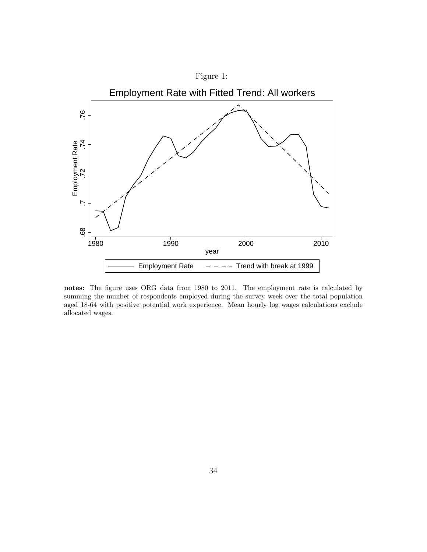<span id="page-34-0"></span>

notes: The figure uses ORG data from 1980 to 2011. The employment rate is calculated by summing the number of respondents employed during the survey week over the total population aged 18-64 with positive potential work experience. Mean hourly log wages calculations exclude allocated wages.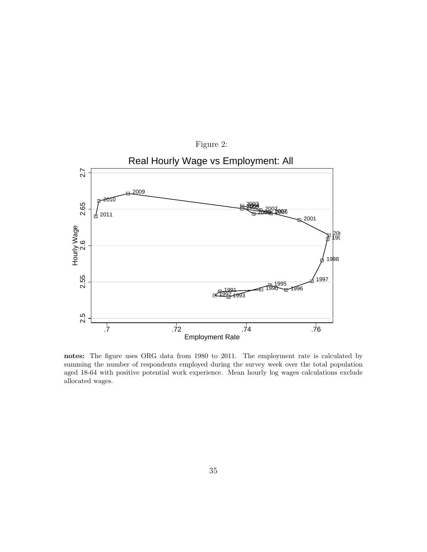<span id="page-35-0"></span>

notes: The figure uses ORG data from 1980 to 2011. The employment rate is calculated by summing the number of respondents employed during the survey week over the total population aged 18-64 with positive potential work experience. Mean hourly log wages calculations exclude allocated wages.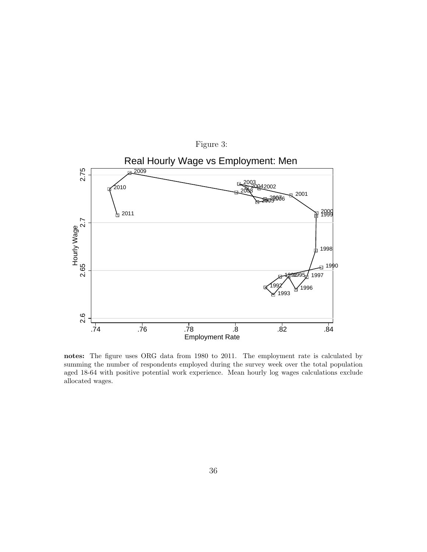<span id="page-36-0"></span>

notes: The figure uses ORG data from 1980 to 2011. The employment rate is calculated by summing the number of respondents employed during the survey week over the total population aged 18-64 with positive potential work experience. Mean hourly log wages calculations exclude allocated wages.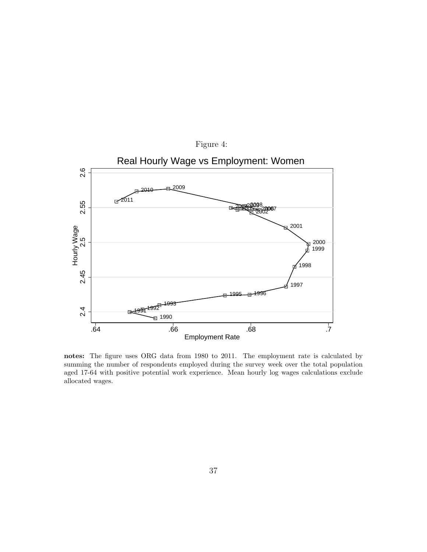<span id="page-37-0"></span>![](_page_37_Figure_0.jpeg)

notes: The figure uses ORG data from 1980 to 2011. The employment rate is calculated by summing the number of respondents employed during the survey week over the total population aged 17-64 with positive potential work experience. Mean hourly log wages calculations exclude allocated wages.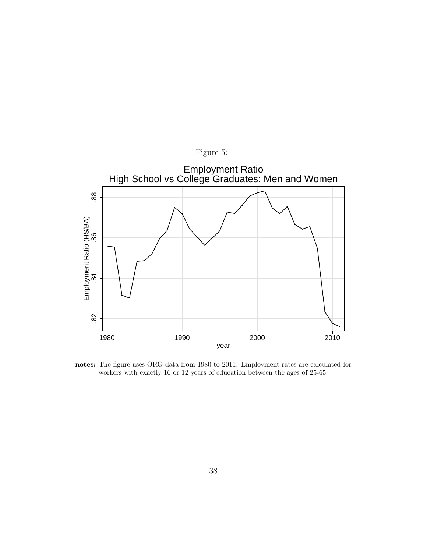<span id="page-38-0"></span>![](_page_38_Figure_0.jpeg)

notes: The figure uses ORG data from 1980 to 2011. Employment rates are calculated for workers with exactly 16 or 12 years of education between the ages of 25-65.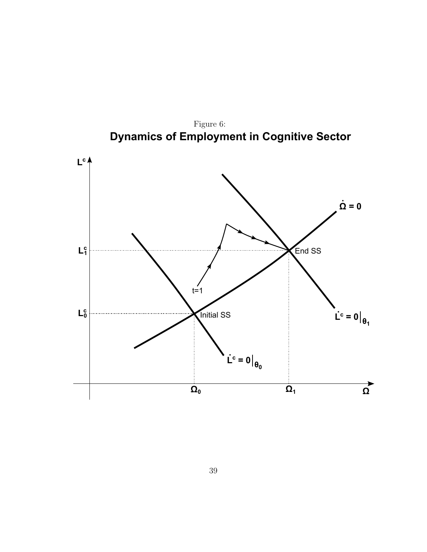![](_page_39_Figure_0.jpeg)

<span id="page-39-0"></span>Figure 6: Dynamics of Employment in Cognitive Sector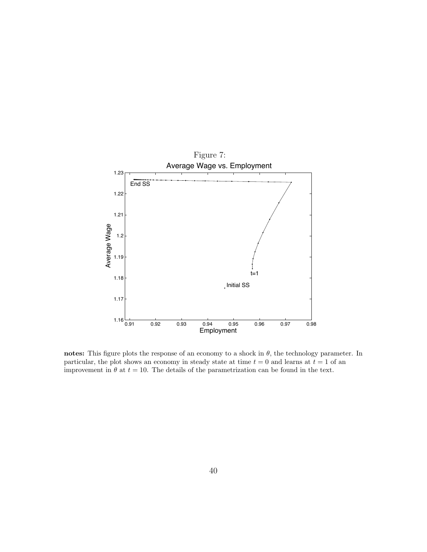<span id="page-40-0"></span>![](_page_40_Figure_0.jpeg)

notes: This figure plots the response of an economy to a shock in  $\theta$ , the technology parameter. In particular, the plot shows an economy in steady state at time  $t = 0$  and learns at  $t = 1$  of an improvement in  $\theta$  at  $t = 10$ . The details of the parametrization can be found in the text.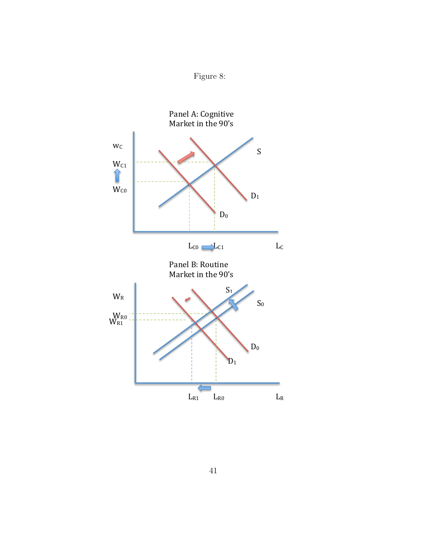<span id="page-41-0"></span>![](_page_41_Figure_0.jpeg)

![](_page_41_Figure_1.jpeg)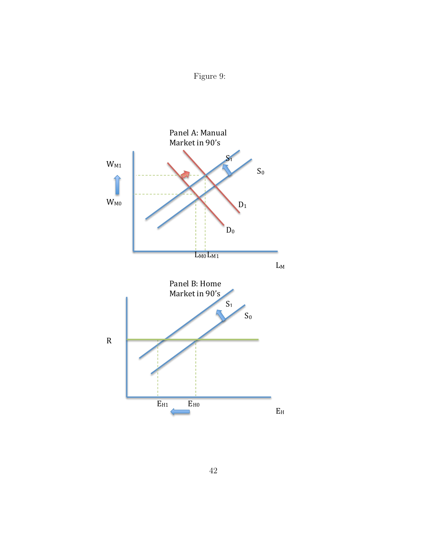<span id="page-42-0"></span>![](_page_42_Figure_0.jpeg)

![](_page_42_Figure_1.jpeg)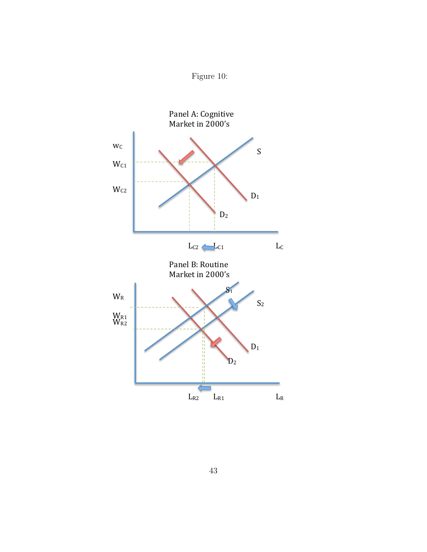<span id="page-43-0"></span>![](_page_43_Figure_0.jpeg)

![](_page_43_Figure_1.jpeg)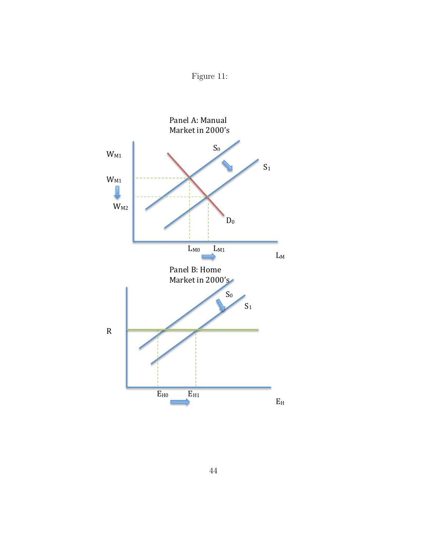<span id="page-44-0"></span>![](_page_44_Figure_0.jpeg)

![](_page_44_Figure_1.jpeg)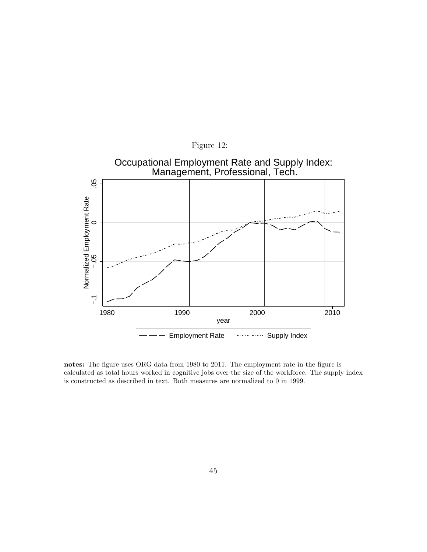<span id="page-45-0"></span>![](_page_45_Figure_0.jpeg)

notes: The figure uses ORG data from 1980 to 2011. The employment rate in the figure is calculated as total hours worked in cognitive jobs over the size of the workforce. The supply index is constructed as described in text. Both measures are normalized to 0 in 1999.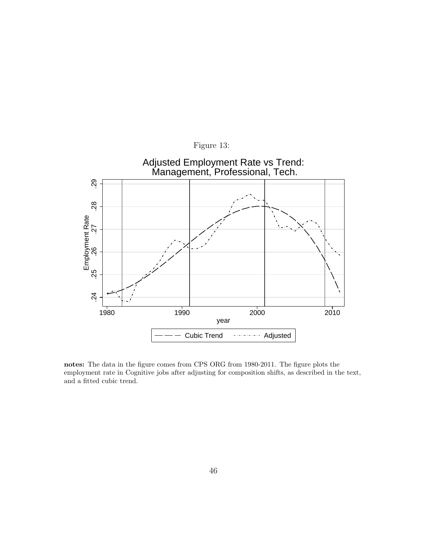<span id="page-46-0"></span>![](_page_46_Figure_0.jpeg)

![](_page_46_Figure_1.jpeg)

notes: The data in the figure comes from CPS ORG from 1980-2011. The figure plots the employment rate in Cognitive jobs after adjusting for composition shifts, as described in the text, and a fitted cubic trend.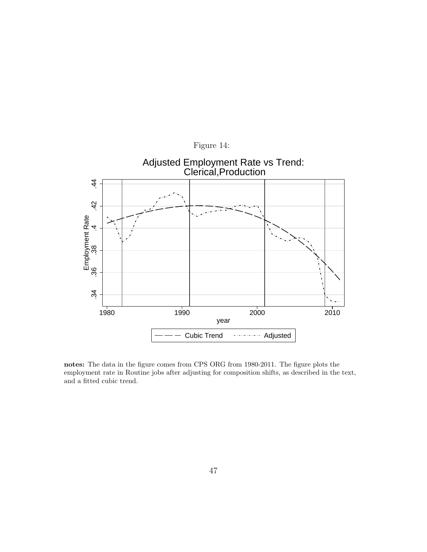<span id="page-47-0"></span>![](_page_47_Figure_0.jpeg)

notes: The data in the figure comes from CPS ORG from 1980-2011. The figure plots the employment rate in Routine jobs after adjusting for composition shifts, as described in the text, and a fitted cubic trend.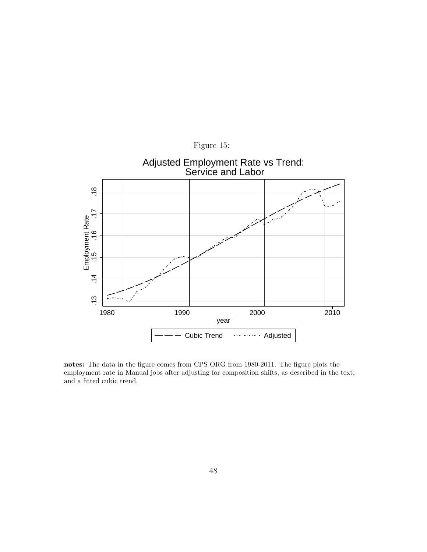<span id="page-48-0"></span>![](_page_48_Figure_0.jpeg)

notes: The data in the figure comes from CPS ORG from 1980-2011. The figure plots the employment rate in Manual jobs after adjusting for composition shifts, as described in the text, and a fitted cubic trend.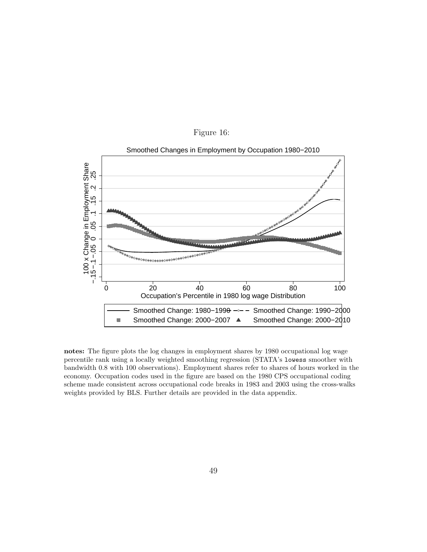<span id="page-49-0"></span>![](_page_49_Figure_0.jpeg)

![](_page_49_Figure_1.jpeg)

notes: The figure plots the log changes in employment shares by 1980 occupational log wage percentile rank using a locally weighted smoothing regression (STATA's lowess smoother with bandwidth 0.8 with 100 observations). Employment shares refer to shares of hours worked in the economy. Occupation codes used in the figure are based on the 1980 CPS occupational coding scheme made consistent across occupational code breaks in 1983 and 2003 using the cross-walks weights provided by BLS. Further details are provided in the data appendix.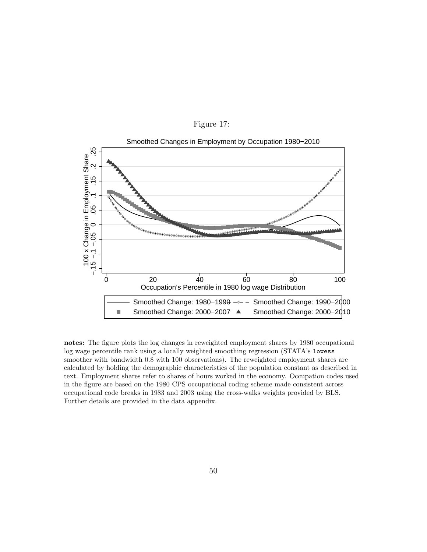![](_page_50_Figure_0.jpeg)

<span id="page-50-0"></span>Figure 17:

notes: The figure plots the log changes in reweighted employment shares by 1980 occupational log wage percentile rank using a locally weighted smoothing regression (STATA's lowess smoother with bandwidth 0.8 with 100 observations). The reweighted employment shares are calculated by holding the demographic characteristics of the population constant as described in text. Employment shares refer to shares of hours worked in the economy. Occupation codes used in the figure are based on the 1980 CPS occupational coding scheme made consistent across occupational code breaks in 1983 and 2003 using the cross-walks weights provided by BLS. Further details are provided in the data appendix.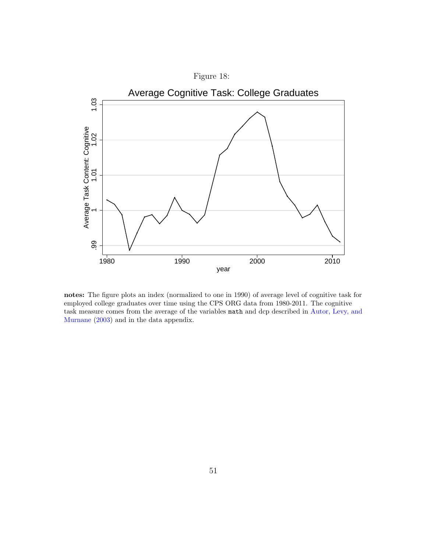<span id="page-51-0"></span>![](_page_51_Figure_0.jpeg)

notes: The figure plots an index (normalized to one in 1990) of average level of cognitive task for employed college graduates over time using the CPS ORG data from 1980-2011. The cognitive task measure comes from the average of the variables math and dcp described in [Autor, Levy, and](#page-32-3) [Murnane](#page-32-3) [\(2003\)](#page-32-3) and in the data appendix.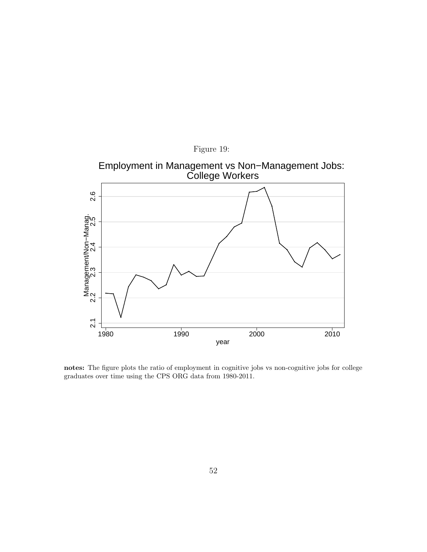<span id="page-52-0"></span>![](_page_52_Figure_0.jpeg)

notes: The figure plots the ratio of employment in cognitive jobs vs non-cognitive jobs for college graduates over time using the CPS ORG data from 1980-2011.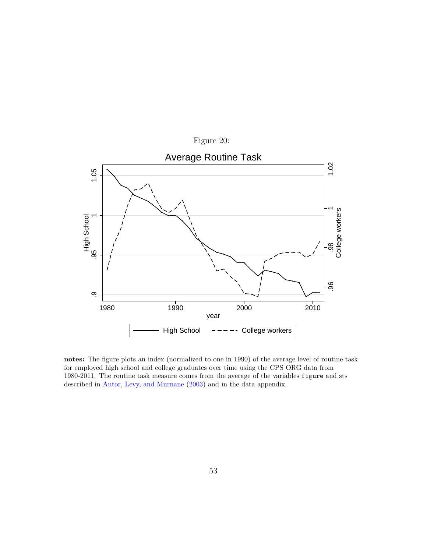<span id="page-53-0"></span>![](_page_53_Figure_0.jpeg)

notes: The figure plots an index (normalized to one in 1990) of the average level of routine task for employed high school and college graduates over time using the CPS ORG data from 1980-2011. The routine task measure comes from the average of the variables figure and sts described in [Autor, Levy, and Murnane](#page-32-3) [\(2003\)](#page-32-3) and in the data appendix.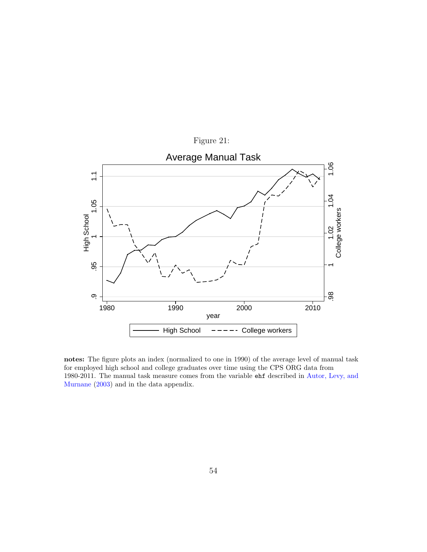<span id="page-54-0"></span>![](_page_54_Figure_0.jpeg)

notes: The figure plots an index (normalized to one in 1990) of the average level of manual task for employed high school and college graduates over time using the CPS ORG data from 1980-2011. The manual task measure comes from the variable ehf described in [Autor, Levy, and](#page-32-3) [Murnane](#page-32-3) [\(2003\)](#page-32-3) and in the data appendix.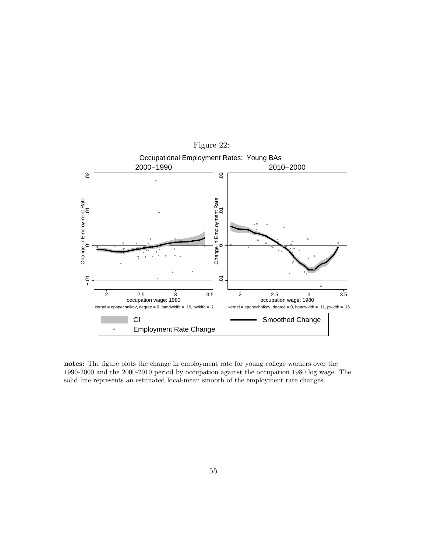<span id="page-55-0"></span>![](_page_55_Figure_0.jpeg)

notes: The figure plots the change in employment rate for young college workers over the 1990-2000 and the 2000-2010 period by occupation against the occupation 1980 log wage. The solid line represents an estimated local-mean smooth of the employment rate changes.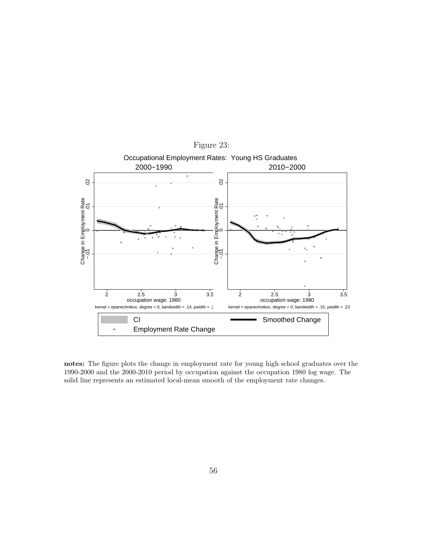<span id="page-56-0"></span>![](_page_56_Figure_0.jpeg)

notes: The figure plots the change in employment rate for young high school graduates over the 1990-2000 and the 2000-2010 period by occupation against the occupation 1980 log wage. The solid line represents an estimated local-mean smooth of the employment rate changes.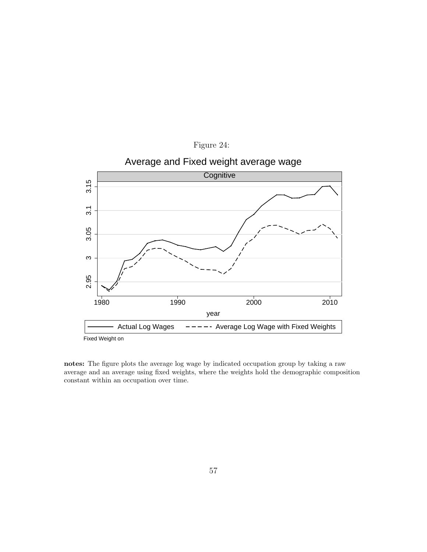<span id="page-57-0"></span>![](_page_57_Figure_0.jpeg)

notes: The figure plots the average log wage by indicated occupation group by taking a raw average and an average using fixed weights, where the weights hold the demographic composition constant within an occupation over time.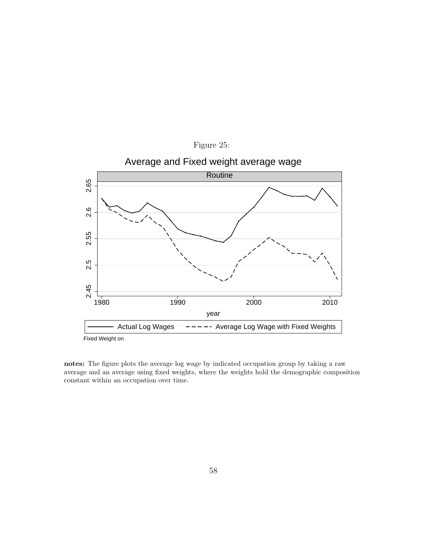![](_page_58_Figure_0.jpeg)

notes: The figure plots the average log wage by indicated occupation group by taking a raw average and an average using fixed weights, where the weights hold the demographic composition constant within an occupation over time.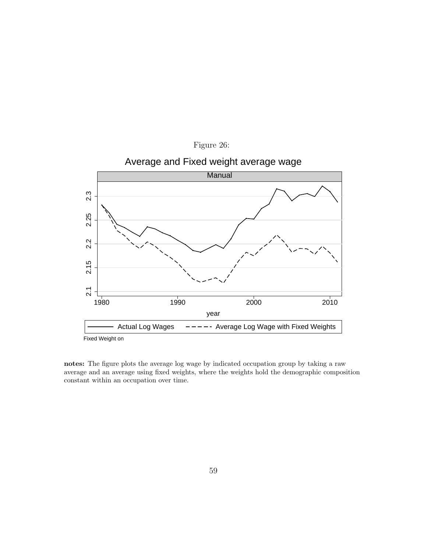<span id="page-59-0"></span>![](_page_59_Figure_0.jpeg)

notes: The figure plots the average log wage by indicated occupation group by taking a raw average and an average using fixed weights, where the weights hold the demographic composition constant within an occupation over time.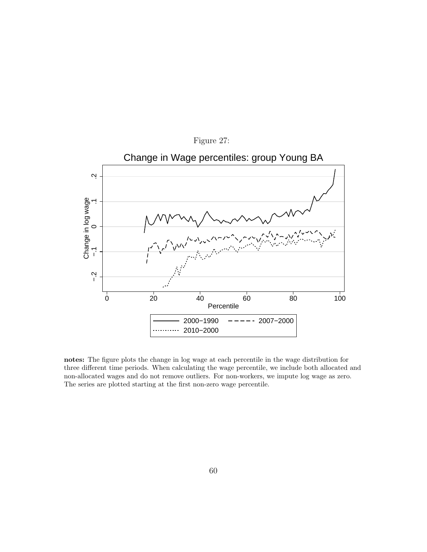<span id="page-60-0"></span>![](_page_60_Figure_0.jpeg)

notes: The figure plots the change in log wage at each percentile in the wage distribution for three different time periods. When calculating the wage percentile, we include both allocated and non-allocated wages and do not remove outliers. For non-workers, we impute log wage as zero. The series are plotted starting at the first non-zero wage percentile.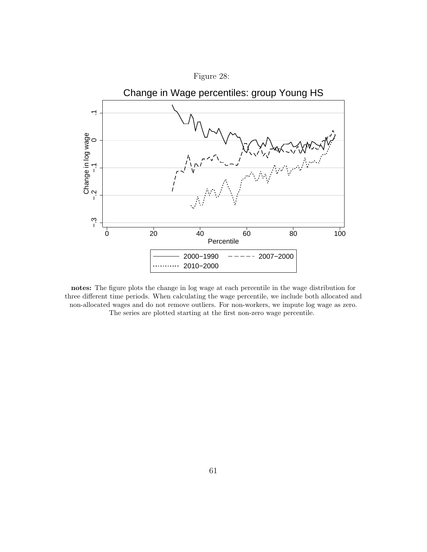<span id="page-61-0"></span>![](_page_61_Figure_0.jpeg)

![](_page_61_Figure_1.jpeg)

notes: The figure plots the change in log wage at each percentile in the wage distribution for three different time periods. When calculating the wage percentile, we include both allocated and non-allocated wages and do not remove outliers. For non-workers, we impute log wage as zero. The series are plotted starting at the first non-zero wage percentile.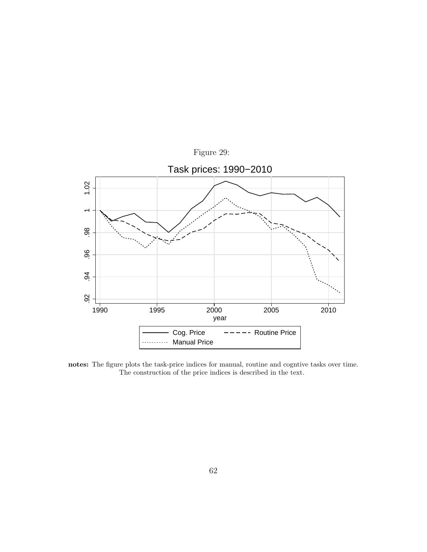<span id="page-62-0"></span>![](_page_62_Figure_0.jpeg)

notes: The figure plots the task-price indices for manual, routine and cogntive tasks over time. The construction of the price indices is described in the text.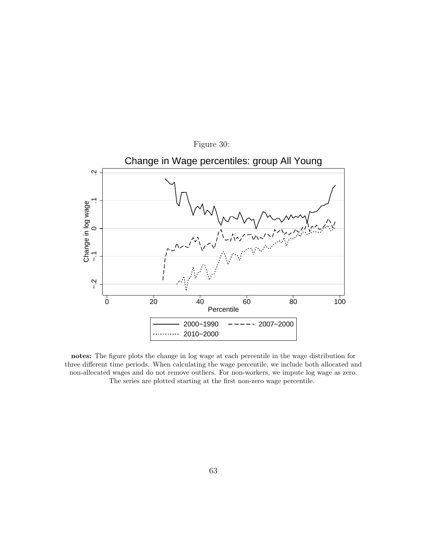<span id="page-63-0"></span>![](_page_63_Figure_0.jpeg)

notes: The figure plots the change in log wage at each percentile in the wage distribution for three different time periods. When calculating the wage percentile, we include both allocated and non-allocated wages and do not remove outliers. For non-workers, we impute log wage as zero. The series are plotted starting at the first non-zero wage percentile.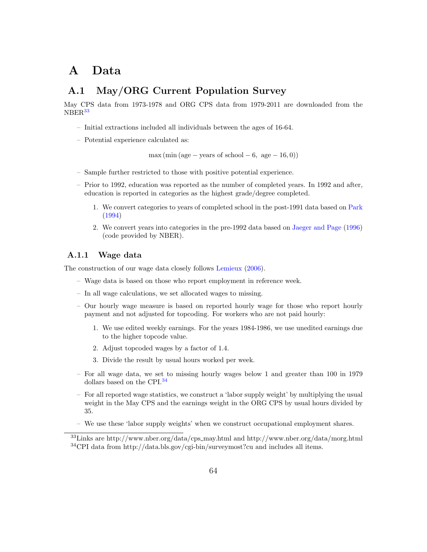### A Data

### A.1 May/ORG Current Population Survey

May CPS data from 1973-1978 and ORG CPS data from 1979-2011 are downloaded from the NBER<sup>[33](#page-64-0)</sup>

- Initial extractions included all individuals between the ages of 16-64.
- Potential experience calculated as:

 $max (min (age - years of school - 6, age - 16, 0))$ 

- Sample further restricted to those with positive potential experience.
- Prior to 1992, education was reported as the number of completed years. In 1992 and after, education is reported in categories as the highest grade/degree completed.
	- 1. We convert categories to years of completed school in the post-1991 data based on [Park](#page-33-7) [\(1994\)](#page-33-7)
	- 2. We convert years into categories in the pre-1992 data based on [Jaeger and Page](#page-33-8) [\(1996\)](#page-33-8) (code provided by NBER).

#### A.1.1 Wage data

The construction of our wage data closely follows [Lemieux](#page-33-5) [\(2006\)](#page-33-5).

- Wage data is based on those who report employment in reference week.
- In all wage calculations, we set allocated wages to missing.
- Our hourly wage measure is based on reported hourly wage for those who report hourly payment and not adjusted for topcoding. For workers who are not paid hourly:
	- 1. We use edited weekly earnings. For the years 1984-1986, we use unedited earnings due to the higher topcode value.
	- 2. Adjust topcoded wages by a factor of 1.4.
	- 3. Divide the result by usual hours worked per week.
- For all wage data, we set to missing hourly wages below 1 and greater than 100 in 1979 dollars based on the CPI.<sup>[34](#page-64-1)</sup>
- For all reported wage statistics, we construct a 'labor supply weight' by multiplying the usual weight in the May CPS and the earnings weight in the ORG CPS by usual hours divided by 35.
- We use these 'labor supply weights' when we construct occupational employment shares.

<span id="page-64-1"></span><span id="page-64-0"></span><sup>33</sup>Links are http://www.nber.org/data/cps may.html and http://www.nber.org/data/morg.html <sup>34</sup>CPI data from http://data.bls.gov/cgi-bin/surveymost?cu and includes all items.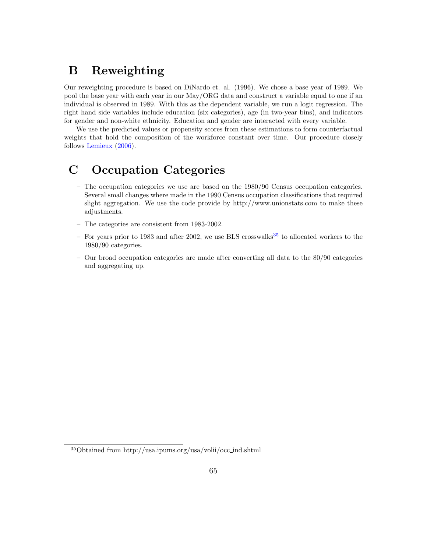### B Reweighting

Our reweighting procedure is based on DiNardo et. al. (1996). We chose a base year of 1989. We pool the base year with each year in our May/ORG data and construct a variable equal to one if an individual is observed in 1989. With this as the dependent variable, we run a logit regression. The right hand side variables include education (six categories), age (in two-year bins), and indicators for gender and non-white ethnicity. Education and gender are interacted with every variable.

We use the predicted values or propensity scores from these estimations to form counterfactual weights that hold the composition of the workforce constant over time. Our procedure closely follows [Lemieux](#page-33-5) [\(2006\)](#page-33-5).

## C Occupation Categories

- The occupation categories we use are based on the 1980/90 Census occupation categories. Several small changes where made in the 1990 Census occupation classifications that required slight aggregation. We use the code provide by http://www.unionstats.com to make these adjustments.
- The categories are consistent from 1983-2002.
- For years prior to 1983 and after 2002, we use BLS crosswalks<sup>[35](#page-65-0)</sup> to allocated workers to the 1980/90 categories.
- Our broad occupation categories are made after converting all data to the 80/90 categories and aggregating up.

<span id="page-65-0"></span><sup>35</sup>Obtained from http://usa.ipums.org/usa/volii/occ ind.shtml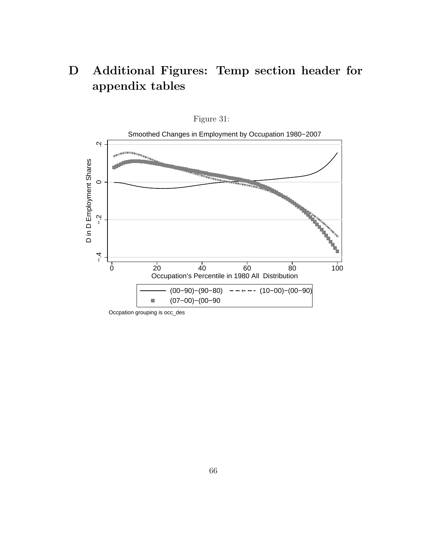# D Additional Figures: Temp section header for appendix tables

![](_page_66_Figure_1.jpeg)

![](_page_66_Figure_2.jpeg)

Occpation grouping is occ\_des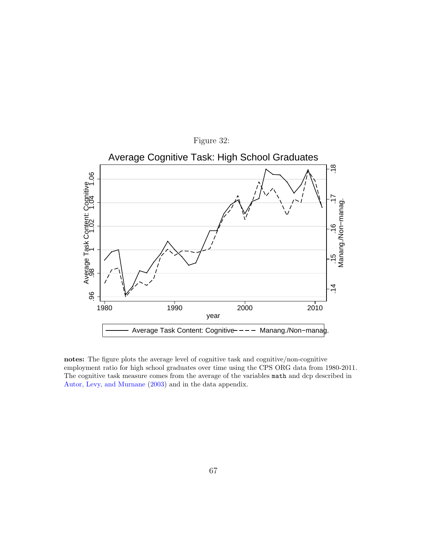<span id="page-67-0"></span>![](_page_67_Figure_0.jpeg)

notes: The figure plots the average level of cognitive task and cognitive/non-cognitive employment ratio for high school graduates over time using the CPS ORG data from 1980-2011. The cognitive task measure comes from the average of the variables math and dcp described in [Autor, Levy, and Murnane](#page-32-3) [\(2003\)](#page-32-3) and in the data appendix.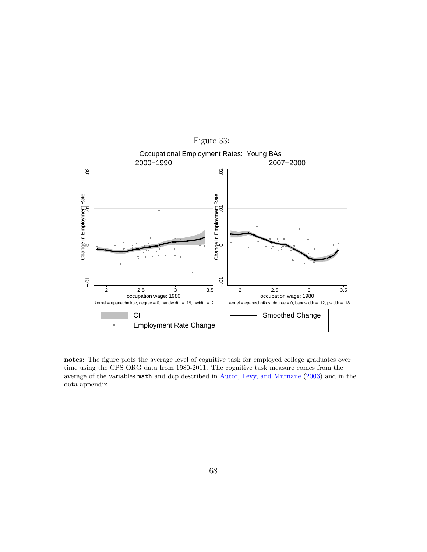<span id="page-68-0"></span>![](_page_68_Figure_0.jpeg)

notes: The figure plots the average level of cognitive task for employed college graduates over time using the CPS ORG data from 1980-2011. The cognitive task measure comes from the average of the variables math and dcp described in [Autor, Levy, and Murnane](#page-32-3) [\(2003\)](#page-32-3) and in the data appendix.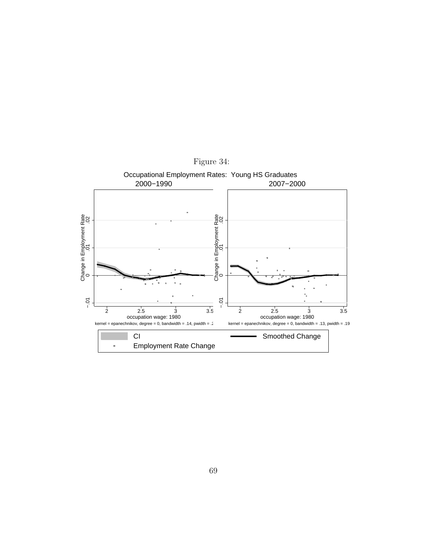![](_page_69_Figure_0.jpeg)

Figure 34: